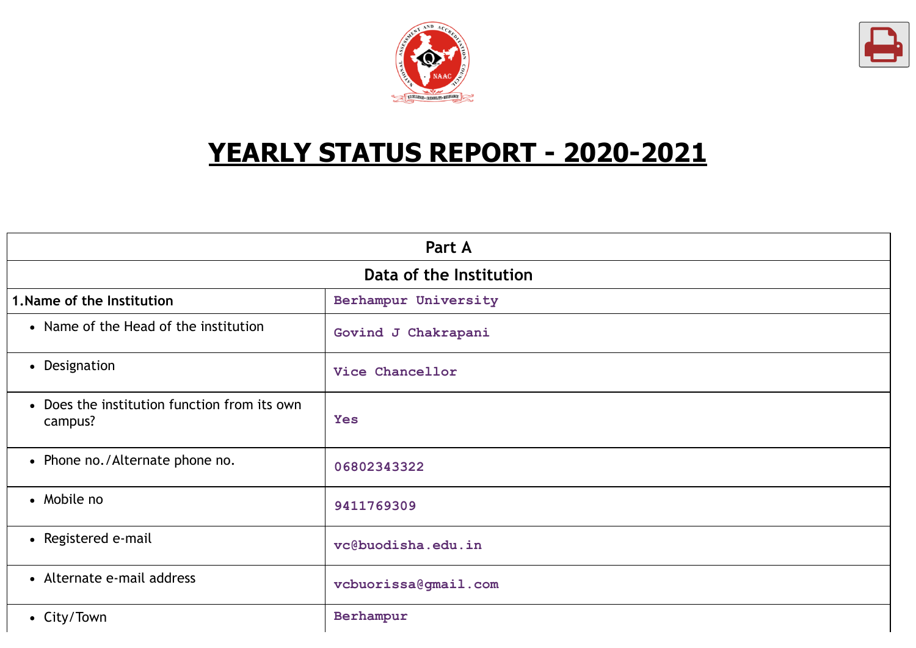



# **YEARLY STATUS REPORT - 2020-2021**

| Part A                                                  |                      |  |
|---------------------------------------------------------|----------------------|--|
| Data of the Institution                                 |                      |  |
| 1. Name of the Institution                              | Berhampur University |  |
| • Name of the Head of the institution                   | Govind J Chakrapani  |  |
| • Designation                                           | Vice Chancellor      |  |
| • Does the institution function from its own<br>campus? | <b>Yes</b>           |  |
| • Phone no./Alternate phone no.                         | 06802343322          |  |
| • Mobile no                                             | 9411769309           |  |
| • Registered e-mail                                     | vc@buodisha.edu.in   |  |
| • Alternate e-mail address                              | vcbuorissa@gmail.com |  |
| • City/Town                                             | Berhampur            |  |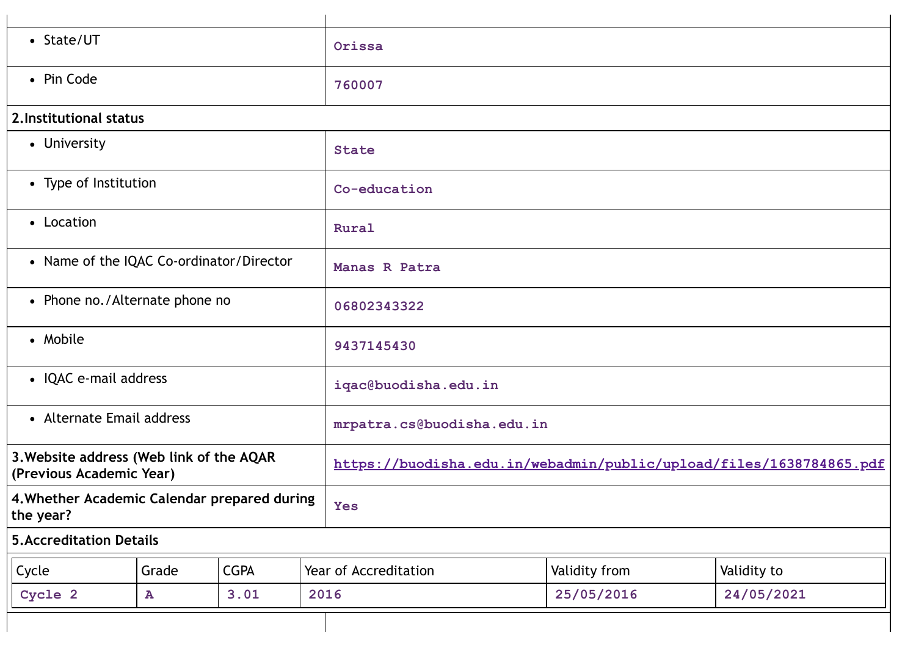| • State/UT                                                           |           | Orissa                                                              |     |                       |               |             |  |
|----------------------------------------------------------------------|-----------|---------------------------------------------------------------------|-----|-----------------------|---------------|-------------|--|
| • Pin Code                                                           |           | 760007                                                              |     |                       |               |             |  |
| 2. Institutional status                                              |           |                                                                     |     |                       |               |             |  |
| • University                                                         |           |                                                                     |     | <b>State</b>          |               |             |  |
| • Type of Institution                                                |           |                                                                     |     | Co-education          |               |             |  |
| • Location                                                           |           |                                                                     |     | Rural                 |               |             |  |
| • Name of the IQAC Co-ordinator/Director                             |           |                                                                     |     | Manas R Patra         |               |             |  |
| • Phone no./Alternate phone no                                       |           | 06802343322                                                         |     |                       |               |             |  |
| • Mobile                                                             |           | 9437145430                                                          |     |                       |               |             |  |
| • IQAC e-mail address                                                |           | iqac@buodisha.edu.in                                                |     |                       |               |             |  |
| • Alternate Email address                                            |           | mrpatra.cs@buodisha.edu.in                                          |     |                       |               |             |  |
| 3. Website address (Web link of the AQAR<br>(Previous Academic Year) |           | https://buodisha.edu.in/webadmin/public/upload/files/1638784865.pdf |     |                       |               |             |  |
| 4. Whether Academic Calendar prepared during<br>the year?            |           |                                                                     | Yes |                       |               |             |  |
| <b>5.Accreditation Details</b>                                       |           |                                                                     |     |                       |               |             |  |
| Cycle                                                                | Grade     | <b>CGPA</b>                                                         |     | Year of Accreditation | Validity from | Validity to |  |
| Cycle 2                                                              | ${\bf A}$ | 3.01                                                                |     | 2016                  | 25/05/2016    | 24/05/2021  |  |
|                                                                      |           |                                                                     |     |                       |               |             |  |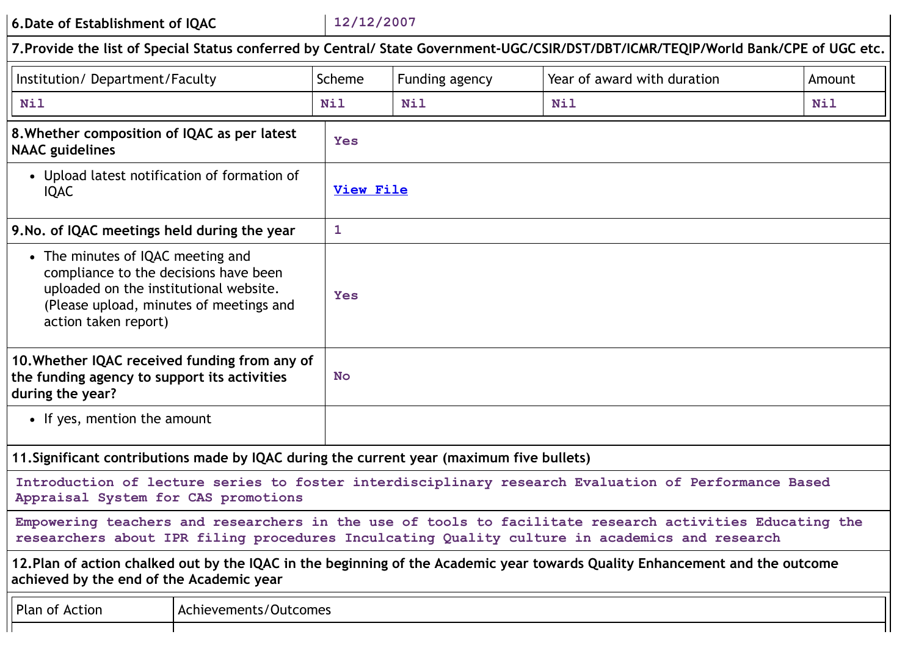**6.Date of Establishment of IQAC 12/12/2007**

|                                                                                                                                                                                         | Pate of Establishment of IQAC |              |                  |                                                                                                                                                                                                          |            |
|-----------------------------------------------------------------------------------------------------------------------------------------------------------------------------------------|-------------------------------|--------------|------------------|----------------------------------------------------------------------------------------------------------------------------------------------------------------------------------------------------------|------------|
|                                                                                                                                                                                         |                               |              |                  | 7. Provide the list of Special Status conferred by Central/ State Government-UGC/CSIR/DST/DBT/ICMR/TEQIP/World Bank/CPE of UGC etc.                                                                      |            |
| Institution/ Department/Faculty                                                                                                                                                         |                               | Scheme       | Funding agency   | Year of award with duration                                                                                                                                                                              | Amount     |
| <b>Nil</b>                                                                                                                                                                              |                               | <b>Nil</b>   | <b>Nil</b>       | <b>Nil</b>                                                                                                                                                                                               | <b>Nil</b> |
| 8. Whether composition of IQAC as per latest<br><b>NAAC</b> guidelines                                                                                                                  |                               | <b>Yes</b>   |                  |                                                                                                                                                                                                          |            |
| • Upload latest notification of formation of<br><b>IQAC</b>                                                                                                                             |                               |              | <b>View File</b> |                                                                                                                                                                                                          |            |
| 9. No. of IQAC meetings held during the year                                                                                                                                            |                               | $\mathbf{1}$ |                  |                                                                                                                                                                                                          |            |
| • The minutes of IQAC meeting and<br>compliance to the decisions have been<br>uploaded on the institutional website.<br>(Please upload, minutes of meetings and<br>action taken report) |                               | Yes          |                  |                                                                                                                                                                                                          |            |
| 10. Whether IQAC received funding from any of<br>the funding agency to support its activities<br><b>No</b><br>during the year?                                                          |                               |              |                  |                                                                                                                                                                                                          |            |
| • If yes, mention the amount                                                                                                                                                            |                               |              |                  |                                                                                                                                                                                                          |            |
| 11. Significant contributions made by IQAC during the current year (maximum five bullets)                                                                                               |                               |              |                  |                                                                                                                                                                                                          |            |
| Appraisal System for CAS promotions                                                                                                                                                     |                               |              |                  | Introduction of lecture series to foster interdisciplinary research Evaluation of Performance Based                                                                                                      |            |
|                                                                                                                                                                                         |                               |              |                  | Empowering teachers and researchers in the use of tools to facilitate research activities Educating the<br>researchers about IPR filing procedures Inculcating Quality culture in academics and research |            |
| achieved by the end of the Academic year                                                                                                                                                |                               |              |                  | 12. Plan of action chalked out by the IQAC in the beginning of the Academic year towards Quality Enhancement and the outcome                                                                             |            |
| <b>Plan of Action</b>                                                                                                                                                                   | Achievements/Outcomes         |              |                  |                                                                                                                                                                                                          |            |
|                                                                                                                                                                                         |                               |              |                  |                                                                                                                                                                                                          |            |

 $\mathbf{I}$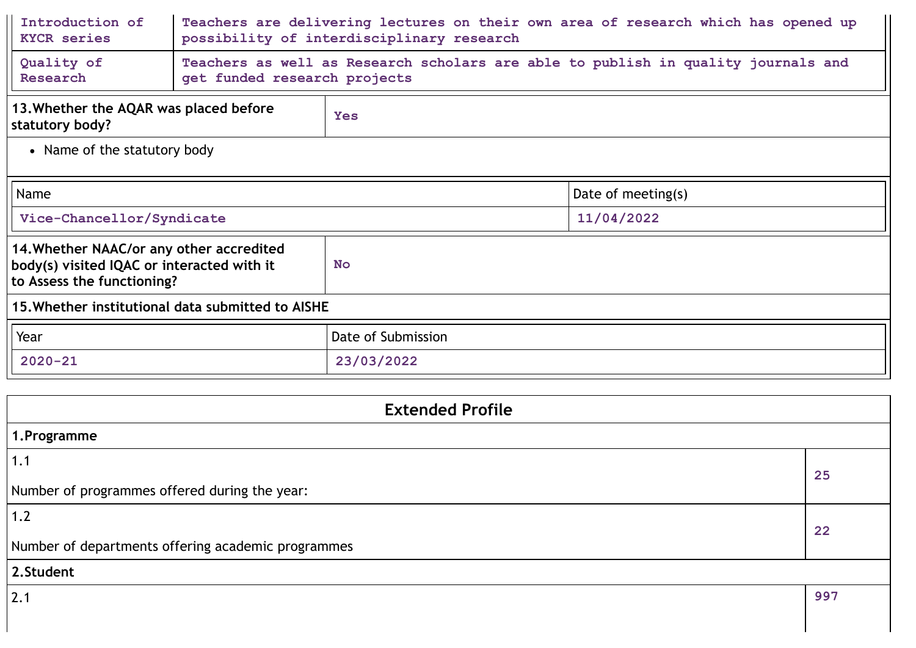| Introduction of<br><b>KYCR</b> series                                                                                | Teachers are delivering lectures on their own area of research which has opened up<br>possibility of interdisciplinary research |            |                    |  |
|----------------------------------------------------------------------------------------------------------------------|---------------------------------------------------------------------------------------------------------------------------------|------------|--------------------|--|
| Quality of<br>Research                                                                                               | Teachers as well as Research scholars are able to publish in quality journals and<br>get funded research projects               |            |                    |  |
| 13. Whether the AQAR was placed before<br>statutory body?                                                            |                                                                                                                                 | <b>Yes</b> |                    |  |
| • Name of the statutory body                                                                                         |                                                                                                                                 |            |                    |  |
| Name                                                                                                                 |                                                                                                                                 |            | Date of meeting(s) |  |
| Vice-Chancellor/Syndicate                                                                                            |                                                                                                                                 |            | 11/04/2022         |  |
| 14. Whether NAAC/or any other accredited<br>body(s) visited IQAC or interacted with it<br>to Assess the functioning? |                                                                                                                                 | <b>No</b>  |                    |  |
| 15. Whether institutional data submitted to AISHE                                                                    |                                                                                                                                 |            |                    |  |
| Date of Submission<br>Year                                                                                           |                                                                                                                                 |            |                    |  |
| $2020 - 21$<br>23/03/2022                                                                                            |                                                                                                                                 |            |                    |  |
|                                                                                                                      |                                                                                                                                 |            |                    |  |
| <b>Extended Profile</b>                                                                                              |                                                                                                                                 |            |                    |  |
| 1.Programme                                                                                                          |                                                                                                                                 |            |                    |  |
| 1.1                                                                                                                  |                                                                                                                                 |            | 25                 |  |
| Number of programmes offered during the year:                                                                        |                                                                                                                                 |            |                    |  |
| 1.2                                                                                                                  |                                                                                                                                 |            | 22                 |  |
| Number of departments offering academic programmes                                                                   |                                                                                                                                 |            |                    |  |

# **2.Student**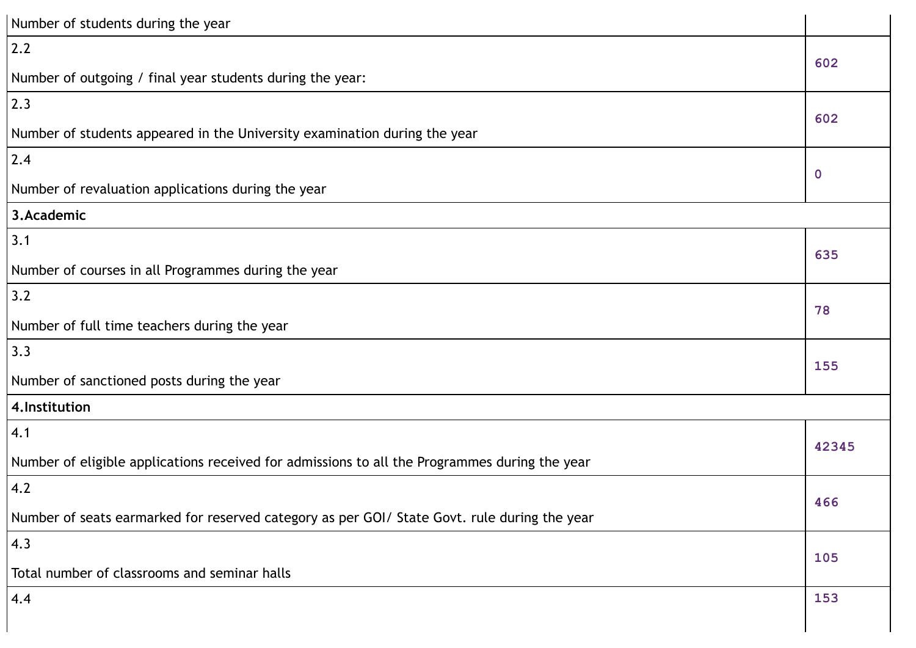| Number of students during the year                                                            |             |  |
|-----------------------------------------------------------------------------------------------|-------------|--|
| 2.2                                                                                           | 602         |  |
| Number of outgoing / final year students during the year:                                     |             |  |
| 2.3                                                                                           |             |  |
| Number of students appeared in the University examination during the year                     | 602         |  |
| 2.4                                                                                           |             |  |
| Number of revaluation applications during the year                                            | $\mathbf 0$ |  |
| 3.Academic                                                                                    |             |  |
| 3.1                                                                                           | 635         |  |
| Number of courses in all Programmes during the year                                           |             |  |
| 3.2                                                                                           | 78          |  |
| Number of full time teachers during the year                                                  |             |  |
| 3.3                                                                                           | 155         |  |
| Number of sanctioned posts during the year                                                    |             |  |
| 4. Institution                                                                                |             |  |
| 4.1                                                                                           | 42345       |  |
| Number of eligible applications received for admissions to all the Programmes during the year |             |  |
| 4.2                                                                                           | 466         |  |
| Number of seats earmarked for reserved category as per GOI/ State Govt. rule during the year  |             |  |
| 4.3                                                                                           |             |  |
| Total number of classrooms and seminar halls                                                  | 105         |  |
| 4.4                                                                                           | 153         |  |
|                                                                                               |             |  |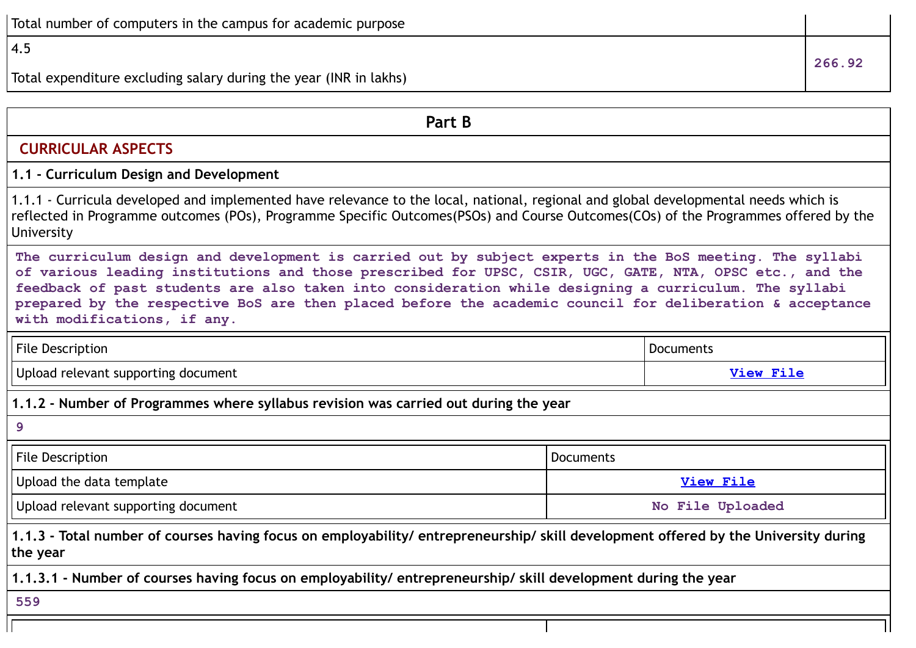# 4.5

Total expenditure excluding salary during the year (INR in lakhs)

**Part B CURRICULAR ASPECTS 1.1 - Curriculum Design and Development** 1.1.1 - Curricula developed and implemented have relevance to the local, national, regional and global developmental needs which is reflected in Programme outcomes (POs), Programme Specific Outcomes(PSOs) and Course Outcomes(COs) of the Programmes offered by the University **The curriculum design and development is carried out by subject experts in the BoS meeting. The syllabi of various leading institutions and those prescribed for UPSC, CSIR, UGC, GATE, NTA, OPSC etc., and the feedback of past students are also taken into consideration while designing a curriculum. The syllabi prepared by the respective BoS are then placed before the academic council for deliberation & acceptance with modifications, if any.** File Description **Documents** Upload relevant supporting document **[View](https://assessmentonline.naac.gov.in/storage/app/public/aqar/14171/14171_307_715.pdf?1650020803) File 1.1.2 - Number of Programmes where syllabus revision was carried out during the year 9** File Description and a property of the Description of the Description of the Description of the Description of the Description of the Description of the Description of the Description of the Description of the Description Upload the data template **[View](https://assessmentonline.naac.gov.in/storage/app/public/aqar/14171/14171_308_718.xlsx?1650020803) File** Upload relevant supporting document **No File Uploaded** 1.1.3 - Total number of courses having focus on employability/ entrepreneurship/ skill development offered by the University during **the year 1.1.3.1 - Number of courses having focus on employability/ entrepreneurship/ skill development during the year 559**

**266.92**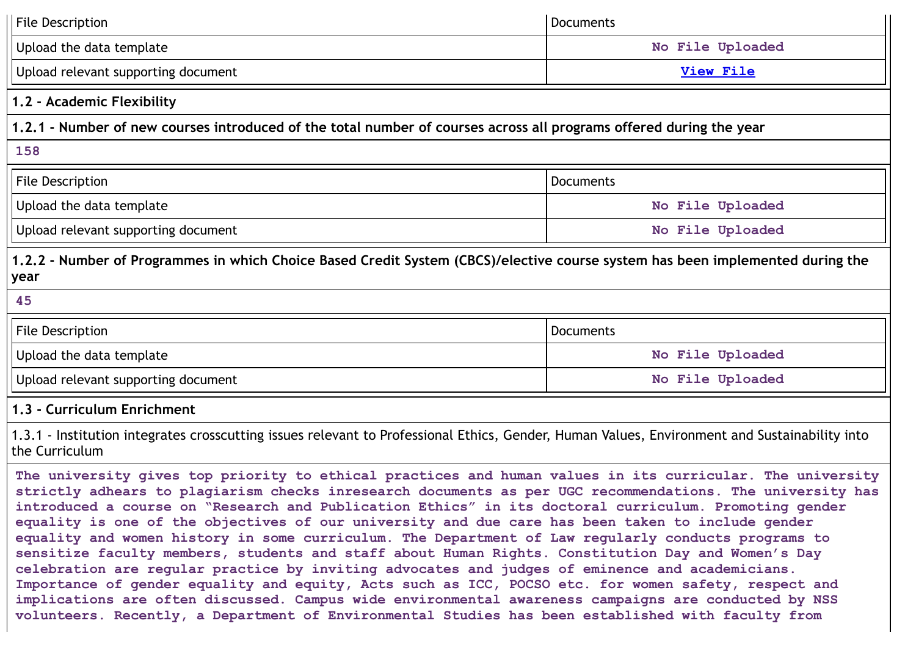| <b>File Description</b>                                                                                                                                         | <b>Documents</b> |  |  |  |
|-----------------------------------------------------------------------------------------------------------------------------------------------------------------|------------------|--|--|--|
| Upload the data template                                                                                                                                        | No File Uploaded |  |  |  |
| Upload relevant supporting document                                                                                                                             | <b>View File</b> |  |  |  |
| 1.2 - Academic Flexibility                                                                                                                                      |                  |  |  |  |
| 1.2.1 - Number of new courses introduced of the total number of courses across all programs offered during the year                                             |                  |  |  |  |
| 158                                                                                                                                                             |                  |  |  |  |
| <b>File Description</b>                                                                                                                                         | <b>Documents</b> |  |  |  |
| Upload the data template                                                                                                                                        | No File Uploaded |  |  |  |
| Upload relevant supporting document                                                                                                                             | No File Uploaded |  |  |  |
| 1.2.2 - Number of Programmes in which Choice Based Credit System (CBCS)/elective course system has been implemented during the<br>year                          |                  |  |  |  |
| 45                                                                                                                                                              |                  |  |  |  |
| File Description                                                                                                                                                | <b>Documents</b> |  |  |  |
| Upload the data template                                                                                                                                        | No File Uploaded |  |  |  |
| Upload relevant supporting document                                                                                                                             | No File Uploaded |  |  |  |
| 1.3 - Curriculum Enrichment                                                                                                                                     |                  |  |  |  |
|                                                                                                                                                                 |                  |  |  |  |
| 1.3.1 - Institution integrates crosscutting issues relevant to Professional Ethics, Gender, Human Values, Environment and Sustainability into<br>the Curriculum |                  |  |  |  |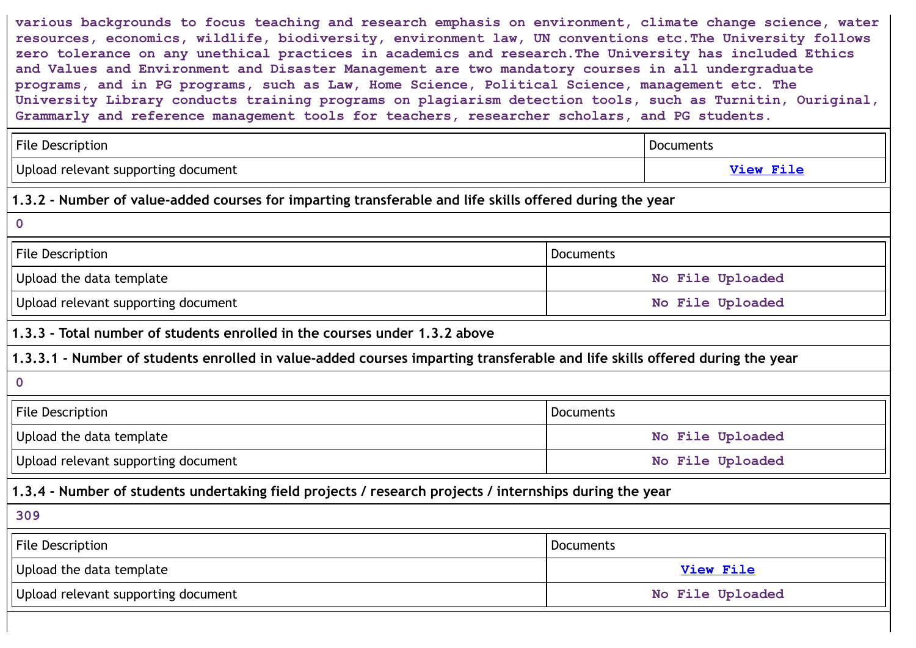**various backgrounds to focus teaching and research emphasis on environment, climate change science, water resources, economics, wildlife, biodiversity, environment law, UN conventions etc.The University follows zero tolerance on any unethical practices in academics and research.The University has included Ethics and Values and Environment and Disaster Management are two mandatory courses in all undergraduate programs, and in PG programs, such as Law, Home Science, Political Science, management etc. The University Library conducts training programs on plagiarism detection tools, such as Turnitin, Ouriginal, Grammarly and reference management tools for teachers, researcher scholars, and PG students.**

|                                                                                                                             | <b>Documents</b> |  |  |
|-----------------------------------------------------------------------------------------------------------------------------|------------------|--|--|
|                                                                                                                             | <b>View File</b> |  |  |
| 1.3.2 - Number of value-added courses for imparting transferable and life skills offered during the year                    |                  |  |  |
|                                                                                                                             |                  |  |  |
| Documents                                                                                                                   |                  |  |  |
|                                                                                                                             | No File Uploaded |  |  |
|                                                                                                                             | No File Uploaded |  |  |
|                                                                                                                             |                  |  |  |
| 1.3.3.1 - Number of students enrolled in value-added courses imparting transferable and life skills offered during the year |                  |  |  |
|                                                                                                                             |                  |  |  |
| Documents                                                                                                                   |                  |  |  |
|                                                                                                                             | No File Uploaded |  |  |
|                                                                                                                             | No File Uploaded |  |  |
| 1.3.4 - Number of students undertaking field projects / research projects / internships during the year                     |                  |  |  |
|                                                                                                                             |                  |  |  |
| Documents                                                                                                                   |                  |  |  |
|                                                                                                                             | <b>View File</b> |  |  |
|                                                                                                                             | No File Uploaded |  |  |
|                                                                                                                             |                  |  |  |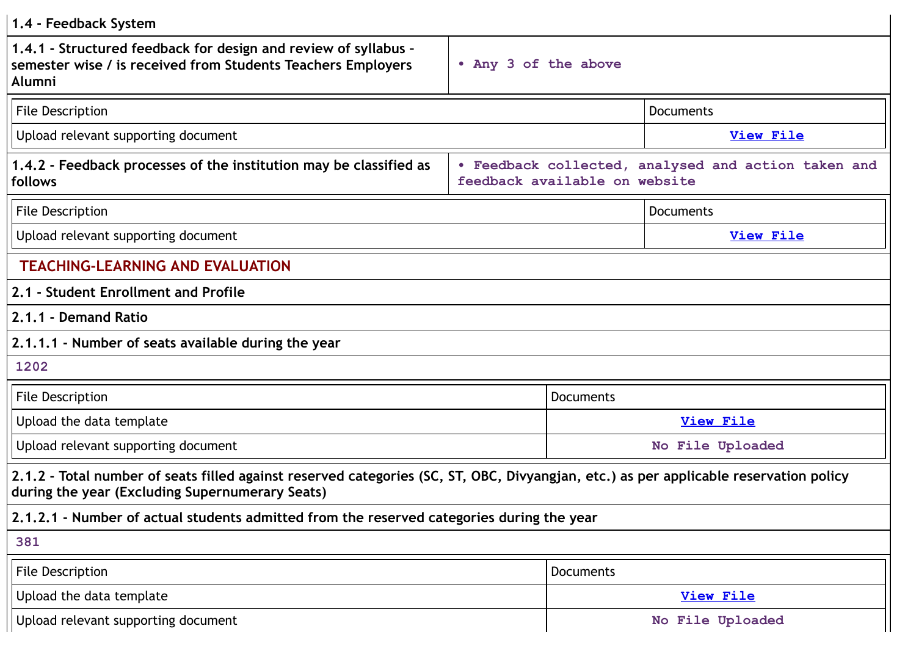| 1.4 - Feedback System                                                                                                                                                                    |                      |                                                                                      |  |  |
|------------------------------------------------------------------------------------------------------------------------------------------------------------------------------------------|----------------------|--------------------------------------------------------------------------------------|--|--|
| 1.4.1 - Structured feedback for design and review of syllabus -<br>semester wise / is received from Students Teachers Employers<br>Alumni                                                | • Any 3 of the above |                                                                                      |  |  |
| <b>File Description</b>                                                                                                                                                                  |                      | Documents                                                                            |  |  |
| Upload relevant supporting document                                                                                                                                                      |                      | <b>View File</b>                                                                     |  |  |
| 1.4.2 - Feedback processes of the institution may be classified as<br>follows                                                                                                            |                      | . Feedback collected, analysed and action taken and<br>feedback available on website |  |  |
| <b>File Description</b>                                                                                                                                                                  |                      | Documents                                                                            |  |  |
| Upload relevant supporting document                                                                                                                                                      |                      | <b>View File</b>                                                                     |  |  |
| <b>TEACHING-LEARNING AND EVALUATION</b>                                                                                                                                                  |                      |                                                                                      |  |  |
| 2.1 - Student Enrollment and Profile                                                                                                                                                     |                      |                                                                                      |  |  |
| 2.1.1 - Demand Ratio                                                                                                                                                                     |                      |                                                                                      |  |  |
| 2.1.1.1 - Number of seats available during the year                                                                                                                                      |                      |                                                                                      |  |  |
| 1202                                                                                                                                                                                     |                      |                                                                                      |  |  |
| <b>File Description</b>                                                                                                                                                                  |                      | <b>Documents</b>                                                                     |  |  |
| Upload the data template                                                                                                                                                                 |                      | <b>View File</b>                                                                     |  |  |
| Upload relevant supporting document                                                                                                                                                      | No File Uploaded     |                                                                                      |  |  |
| 2.1.2 - Total number of seats filled against reserved categories (SC, ST, OBC, Divyangjan, etc.) as per applicable reservation policy<br>during the year (Excluding Supernumerary Seats) |                      |                                                                                      |  |  |
| 2.1.2.1 - Number of actual students admitted from the reserved categories during the year                                                                                                |                      |                                                                                      |  |  |
| 381                                                                                                                                                                                      |                      |                                                                                      |  |  |
| <b>File Description</b>                                                                                                                                                                  |                      | Documents                                                                            |  |  |
| Upload the data template                                                                                                                                                                 |                      | <b>View File</b>                                                                     |  |  |
| Upload relevant supporting document                                                                                                                                                      |                      | No File Uploaded                                                                     |  |  |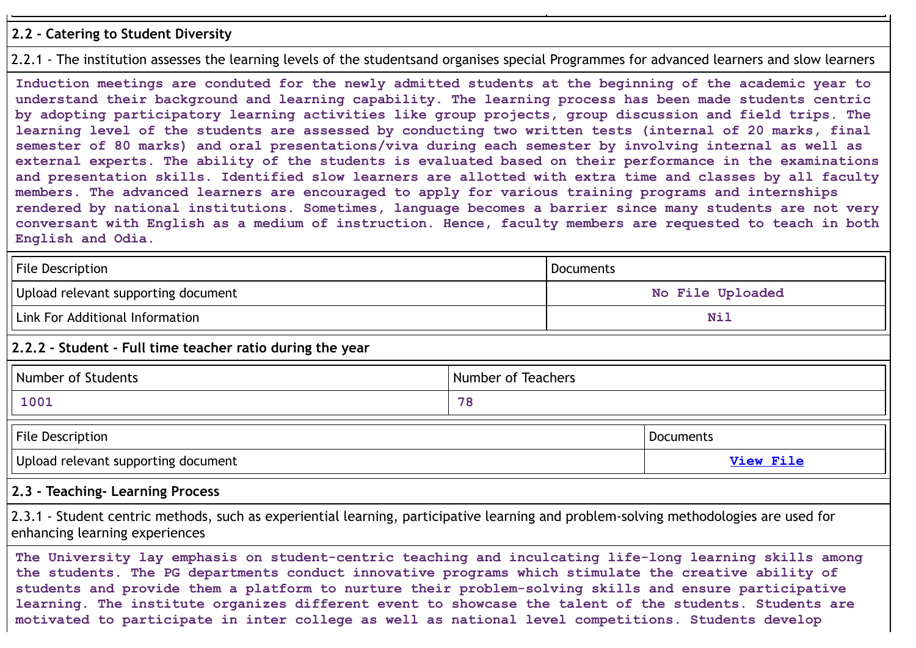#### **2.2 - Catering to Student Diversity**

#### 2.2.1 - The institution assesses the learning levels of the studentsand organises special Programmes for advanced learners and slow learners

**Induction meetings are conduted for the newly admitted students at the beginning of the academic year to understand their background and learning capability. The learning process has been made students centric by adopting participatory learning activities like group projects, group discussion and field trips. The learning level of the students are assessed by conducting two written tests (internal of 20 marks, final semester of 80 marks) and oral presentations/viva during each semester by involving internal as well as external experts. The ability of the students is evaluated based on their performance in the examinations and presentation skills. Identified slow learners are allotted with extra time and classes by all faculty members. The advanced learners are encouraged to apply for various training programs and internships rendered by national institutions. Sometimes, language becomes a barrier since many students are not very conversant with English as a medium of instruction. Hence, faculty members are requested to teach in both English and Odia.**

| <b>File Description</b>                                                                                                                                                 | Documents          |                  |           |
|-------------------------------------------------------------------------------------------------------------------------------------------------------------------------|--------------------|------------------|-----------|
| Upload relevant supporting document                                                                                                                                     | No File Uploaded   |                  |           |
| Link For Additional Information                                                                                                                                         |                    | <b>Nil</b>       |           |
| 2.2.2 - Student - Full time teacher ratio during the year                                                                                                               |                    |                  |           |
| Number of Students                                                                                                                                                      | Number of Teachers |                  |           |
| 1001                                                                                                                                                                    | 78                 |                  |           |
| <b>File Description</b>                                                                                                                                                 |                    |                  | Documents |
| Upload relevant supporting document                                                                                                                                     |                    | <b>View File</b> |           |
| 2.3 - Teaching- Learning Process                                                                                                                                        |                    |                  |           |
| 2.3.1 - Student centric methods, such as experiential learning, participative learning and problem-solving methodologies are used for<br>enhancing learning experiences |                    |                  |           |

**The University lay emphasis on student-centric teaching and inculcating life-long learning skills among the students. The PG departments conduct innovative programs which stimulate the creative ability of students and provide them a platform to nurture their problem-solving skills and ensure participative learning. The institute organizes different event to showcase the talent of the students. Students are motivated to participate in inter college as well as national level competitions. Students develop**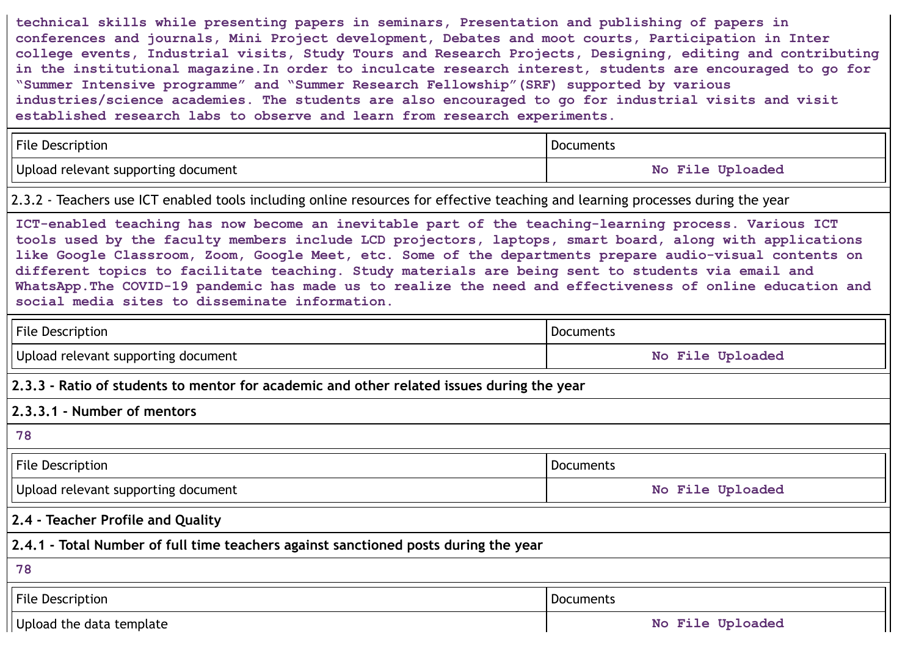**technical skills while presenting papers in seminars, Presentation and publishing of papers in conferences and journals, Mini Project development, Debates and moot courts, Participation in Inter college events, Industrial visits, Study Tours and Research Projects, Designing, editing and contributing in the institutional magazine.In order to inculcate research interest, students are encouraged to go for "Summer Intensive programme" and "Summer Research Fellowship"(SRF) supported by various industries/science academies. The students are also encouraged to go for industrial visits and visit established research labs to observe and learn from research experiments.**

| <b>File Description</b>             | ' Documents                 |
|-------------------------------------|-----------------------------|
| Upload relevant supporting document | <b>File Uploaded</b><br>No. |

2.3.2 - Teachers use ICT enabled tools including online resources for effective teaching and learning processes during the year

**ICT-enabled teaching has now become an inevitable part of the teaching-learning process. Various ICT tools used by the faculty members include LCD projectors, laptops, smart board, along with applications like Google Classroom, Zoom, Google Meet, etc. Some of the departments prepare audio-visual contents on different topics to facilitate teaching. Study materials are being sent to students via email and WhatsApp.The COVID-19 pandemic has made us to realize the need and effectiveness of online education and social media sites to disseminate information.**

| File Description                                                                          | Documents        |  |  |  |
|-------------------------------------------------------------------------------------------|------------------|--|--|--|
| Upload relevant supporting document                                                       | No File Uploaded |  |  |  |
| 2.3.3 - Ratio of students to mentor for academic and other related issues during the year |                  |  |  |  |
| 2.3.3.1 - Number of mentors                                                               |                  |  |  |  |
| 78                                                                                        |                  |  |  |  |
| <b>File Description</b>                                                                   | Documents        |  |  |  |
| Upload relevant supporting document                                                       | No File Uploaded |  |  |  |
| 2.4 - Teacher Profile and Quality                                                         |                  |  |  |  |
| 2.4.1 - Total Number of full time teachers against sanctioned posts during the year       |                  |  |  |  |
| 78                                                                                        |                  |  |  |  |
| <b>File Description</b>                                                                   | Documents        |  |  |  |
| Upload the data template                                                                  | No File Uploaded |  |  |  |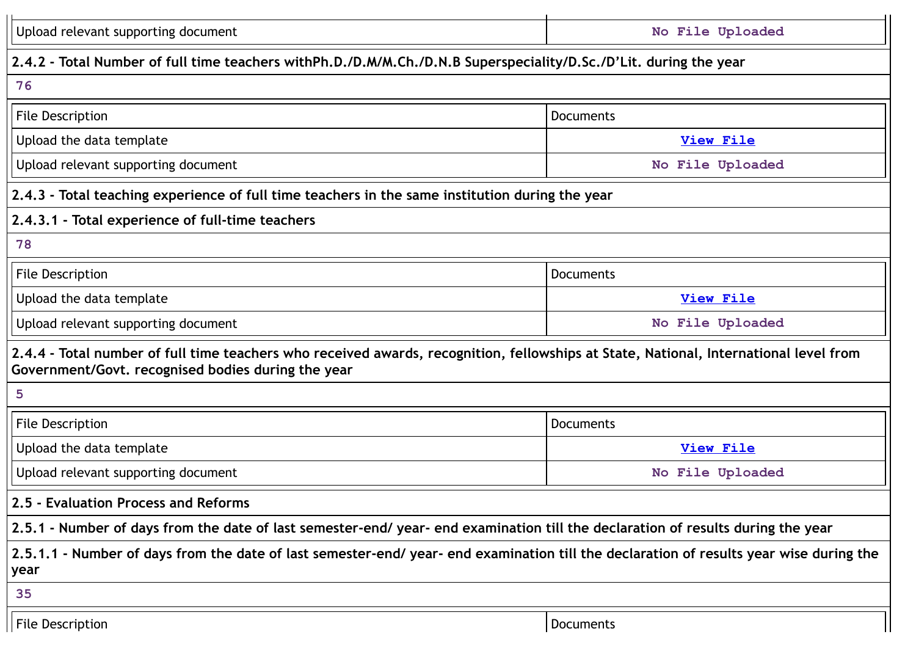| Upload relevant supporting document<br>No File Uploaded                                                           |                                                                                                                                         |  |  |
|-------------------------------------------------------------------------------------------------------------------|-----------------------------------------------------------------------------------------------------------------------------------------|--|--|
| 2.4.2 - Total Number of full time teachers withPh.D./D.M/M.Ch./D.N.B Superspeciality/D.Sc./D'Lit. during the year |                                                                                                                                         |  |  |
| 76                                                                                                                |                                                                                                                                         |  |  |
| <b>File Description</b>                                                                                           | <b>Documents</b>                                                                                                                        |  |  |
| Upload the data template                                                                                          | <b>View File</b>                                                                                                                        |  |  |
| Upload relevant supporting document                                                                               | No File Uploaded                                                                                                                        |  |  |
| 2.4.3 - Total teaching experience of full time teachers in the same institution during the year                   |                                                                                                                                         |  |  |
| 2.4.3.1 - Total experience of full-time teachers                                                                  |                                                                                                                                         |  |  |
| 78                                                                                                                |                                                                                                                                         |  |  |
| File Description                                                                                                  | <b>Documents</b>                                                                                                                        |  |  |
| Upload the data template                                                                                          | <b>View File</b>                                                                                                                        |  |  |
| Upload relevant supporting document                                                                               | No File Uploaded                                                                                                                        |  |  |
| Government/Govt. recognised bodies during the year                                                                | 2.4.4 - Total number of full time teachers who received awards, recognition, fellowships at State, National, International level from   |  |  |
| 5                                                                                                                 |                                                                                                                                         |  |  |
| File Description                                                                                                  | <b>Documents</b>                                                                                                                        |  |  |
| Upload the data template                                                                                          | <b>View File</b>                                                                                                                        |  |  |
| Upload relevant supporting document                                                                               | No File Uploaded                                                                                                                        |  |  |
| 2.5 - Evaluation Process and Reforms                                                                              |                                                                                                                                         |  |  |
|                                                                                                                   | 2.5.1 - Number of days from the date of last semester-end/ year- end examination till the declaration of results during the year        |  |  |
| year                                                                                                              | 2.5.1.1 - Number of days from the date of last semester-end/ year- end examination till the declaration of results year wise during the |  |  |
| 35                                                                                                                |                                                                                                                                         |  |  |
| <b>File Description</b>                                                                                           | Documents                                                                                                                               |  |  |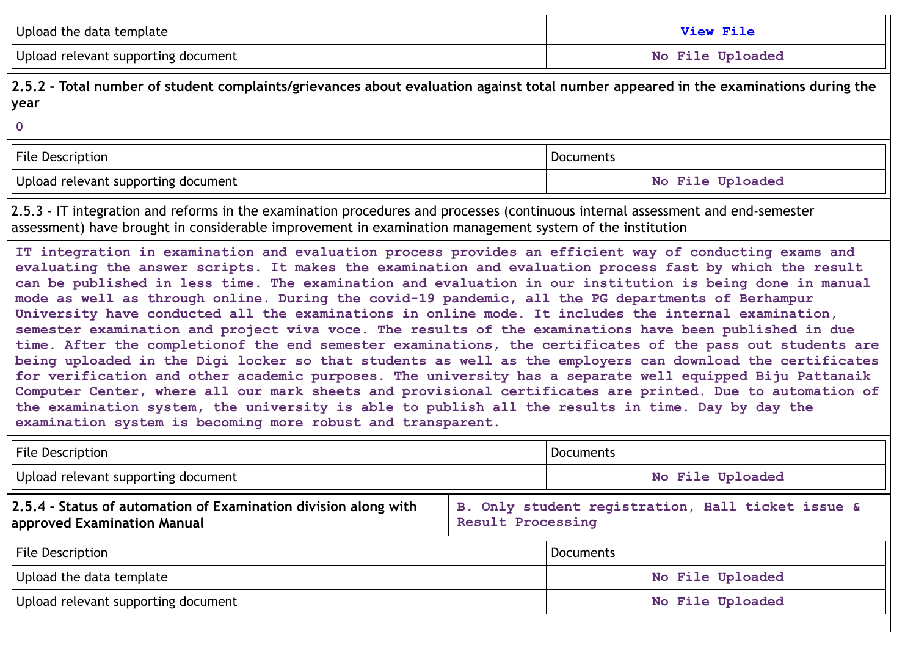| Upload the data template                                                                                                                                                                                                                                                                                                                                                                                                                                                                                                                                                                                                                                                                                                                                                                                                                                                                                                                                                                                                                                                                                                                                                                                                                                                    |                   | View File                                         |  |
|-----------------------------------------------------------------------------------------------------------------------------------------------------------------------------------------------------------------------------------------------------------------------------------------------------------------------------------------------------------------------------------------------------------------------------------------------------------------------------------------------------------------------------------------------------------------------------------------------------------------------------------------------------------------------------------------------------------------------------------------------------------------------------------------------------------------------------------------------------------------------------------------------------------------------------------------------------------------------------------------------------------------------------------------------------------------------------------------------------------------------------------------------------------------------------------------------------------------------------------------------------------------------------|-------------------|---------------------------------------------------|--|
| Upload relevant supporting document                                                                                                                                                                                                                                                                                                                                                                                                                                                                                                                                                                                                                                                                                                                                                                                                                                                                                                                                                                                                                                                                                                                                                                                                                                         |                   | No File Uploaded                                  |  |
| 2.5.2 - Total number of student complaints/grievances about evaluation against total number appeared in the examinations during the<br>year                                                                                                                                                                                                                                                                                                                                                                                                                                                                                                                                                                                                                                                                                                                                                                                                                                                                                                                                                                                                                                                                                                                                 |                   |                                                   |  |
| $\mathbf 0$                                                                                                                                                                                                                                                                                                                                                                                                                                                                                                                                                                                                                                                                                                                                                                                                                                                                                                                                                                                                                                                                                                                                                                                                                                                                 |                   |                                                   |  |
| <b>File Description</b><br><b>Documents</b>                                                                                                                                                                                                                                                                                                                                                                                                                                                                                                                                                                                                                                                                                                                                                                                                                                                                                                                                                                                                                                                                                                                                                                                                                                 |                   |                                                   |  |
| Upload relevant supporting document                                                                                                                                                                                                                                                                                                                                                                                                                                                                                                                                                                                                                                                                                                                                                                                                                                                                                                                                                                                                                                                                                                                                                                                                                                         |                   | No File Uploaded                                  |  |
| 2.5.3 - IT integration and reforms in the examination procedures and processes (continuous internal assessment and end-semester<br>assessment) have brought in considerable improvement in examination management system of the institution                                                                                                                                                                                                                                                                                                                                                                                                                                                                                                                                                                                                                                                                                                                                                                                                                                                                                                                                                                                                                                 |                   |                                                   |  |
| IT integration in examination and evaluation process provides an efficient way of conducting exams and<br>evaluating the answer scripts. It makes the examination and evaluation process fast by which the result<br>can be published in less time. The examination and evaluation in our institution is being done in manual<br>mode as well as through online. During the covid-19 pandemic, all the PG departments of Berhampur<br>University have conducted all the examinations in online mode. It includes the internal examination,<br>semester examination and project viva voce. The results of the examinations have been published in due<br>time. After the completionof the end semester examinations, the certificates of the pass out students are<br>being uploaded in the Digi locker so that students as well as the employers can download the certificates<br>for verification and other academic purposes. The university has a separate well equipped Biju Pattanaik<br>Computer Center, where all our mark sheets and provisional certificates are printed. Due to automation of<br>the examination system, the university is able to publish all the results in time. Day by day the<br>examination system is becoming more robust and transparent. |                   |                                                   |  |
| File Description                                                                                                                                                                                                                                                                                                                                                                                                                                                                                                                                                                                                                                                                                                                                                                                                                                                                                                                                                                                                                                                                                                                                                                                                                                                            |                   | <b>Documents</b>                                  |  |
| Upload relevant supporting document                                                                                                                                                                                                                                                                                                                                                                                                                                                                                                                                                                                                                                                                                                                                                                                                                                                                                                                                                                                                                                                                                                                                                                                                                                         |                   | No File Uploaded                                  |  |
| 2.5.4 - Status of automation of Examination division along with<br>approved Examination Manual                                                                                                                                                                                                                                                                                                                                                                                                                                                                                                                                                                                                                                                                                                                                                                                                                                                                                                                                                                                                                                                                                                                                                                              | Result Processing | B. Only student registration, Hall ticket issue & |  |
| <b>File Description</b>                                                                                                                                                                                                                                                                                                                                                                                                                                                                                                                                                                                                                                                                                                                                                                                                                                                                                                                                                                                                                                                                                                                                                                                                                                                     |                   | <b>Documents</b>                                  |  |
| Upload the data template                                                                                                                                                                                                                                                                                                                                                                                                                                                                                                                                                                                                                                                                                                                                                                                                                                                                                                                                                                                                                                                                                                                                                                                                                                                    |                   | No File Uploaded                                  |  |
| Upload relevant supporting document                                                                                                                                                                                                                                                                                                                                                                                                                                                                                                                                                                                                                                                                                                                                                                                                                                                                                                                                                                                                                                                                                                                                                                                                                                         |                   | No File Uploaded                                  |  |
|                                                                                                                                                                                                                                                                                                                                                                                                                                                                                                                                                                                                                                                                                                                                                                                                                                                                                                                                                                                                                                                                                                                                                                                                                                                                             |                   |                                                   |  |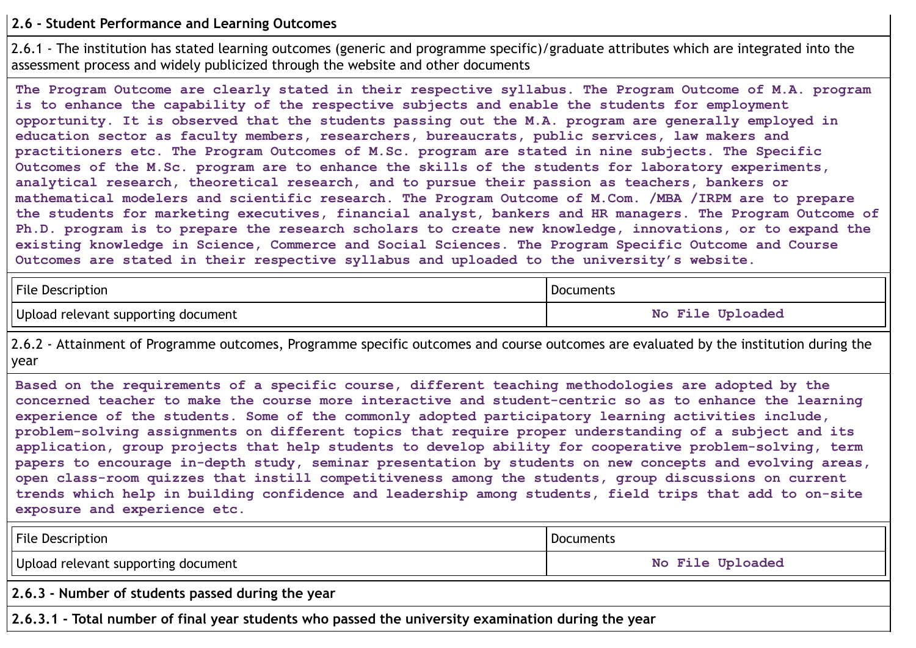# **2.6 - Student Performance and Learning Outcomes**

2.6.1 - The institution has stated learning outcomes (generic and programme specific)/graduate attributes which are integrated into the assessment process and widely publicized through the website and other documents

**The Program Outcome are clearly stated in their respective syllabus. The Program Outcome of M.A. program is to enhance the capability of the respective subjects and enable the students for employment opportunity. It is observed that the students passing out the M.A. program are generally employed in education sector as faculty members, researchers, bureaucrats, public services, law makers and practitioners etc. The Program Outcomes of M.Sc. program are stated in nine subjects. The Specific Outcomes of the M.Sc. program are to enhance the skills of the students for laboratory experiments, analytical research, theoretical research, and to pursue their passion as teachers, bankers or mathematical modelers and scientific research. The Program Outcome of M.Com. /MBA /IRPM are to prepare the students for marketing executives, financial analyst, bankers and HR managers. The Program Outcome of Ph.D. program is to prepare the research scholars to create new knowledge, innovations, or to expand the existing knowledge in Science, Commerce and Social Sciences. The Program Specific Outcome and Course Outcomes are stated in their respective syllabus and uploaded to the university's website.**

| <b>File Description</b>             | <b>Documents</b> |
|-------------------------------------|------------------|
| Upload relevant supporting document | No File Uploaded |

2.6.2 - Attainment of Programme outcomes, Programme specific outcomes and course outcomes are evaluated by the institution during the year

**Based on the requirements of a specific course, different teaching methodologies are adopted by the concerned teacher to make the course more interactive and student-centric so as to enhance the learning experience of the students. Some of the commonly adopted participatory learning activities include, problem-solving assignments on different topics that require proper understanding of a subject and its application, group projects that help students to develop ability for cooperative problem-solving, term papers to encourage in-depth study, seminar presentation by students on new concepts and evolving areas, open class-room quizzes that instill competitiveness among the students, group discussions on current trends which help in building confidence and leadership among students, field trips that add to on-site exposure and experience etc.**

| File Description                                                                                    | Documents        |  |  |
|-----------------------------------------------------------------------------------------------------|------------------|--|--|
| Upload relevant supporting document                                                                 | No File Uploaded |  |  |
| 2.6.3 - Number of students passed during the year                                                   |                  |  |  |
| 2.6.3.1 - Total number of final year students who passed the university examination during the year |                  |  |  |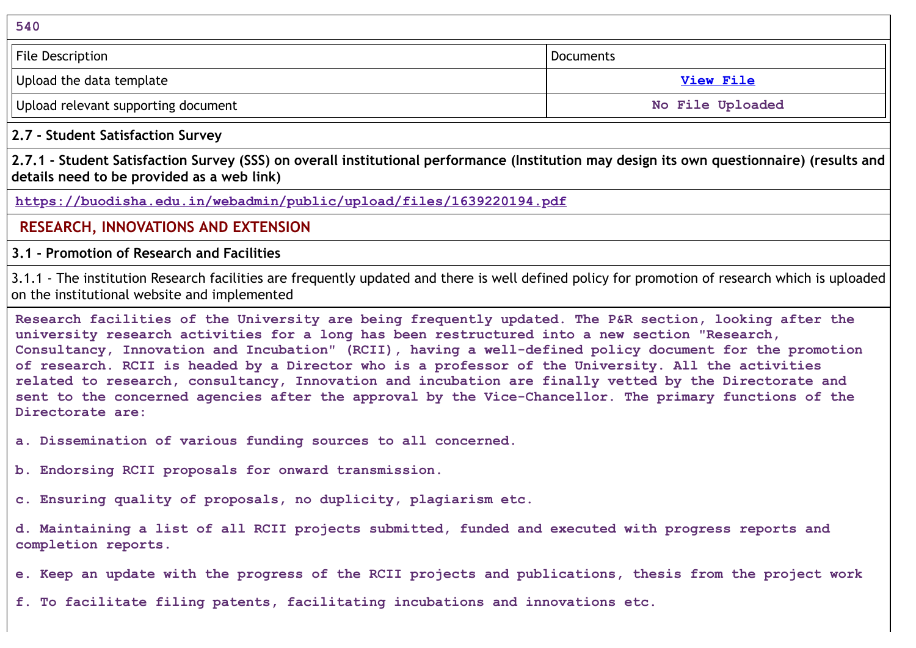**540** File Description **Documents** Upload the data template **[View](https://assessmentonline.naac.gov.in/storage/app/public/aqar/14171/14171_335_773.xlsx?1650020803) File** Upload relevant supporting document **No File No File Uploaded** 

**2.7 - Student Satisfaction Survey**

2.7.1 - Student Satisfaction Survey (SSS) on overall institutional performance (Institution may design its own questionnaire) (results and **details need to be provided as a web link)**

**<https://buodisha.edu.in/webadmin/public/upload/files/1639220194.pdf>**

**RESEARCH, INNOVATIONS AND EXTENSION**

**3.1 - Promotion of Research and Facilities**

3.1.1 - The institution Research facilities are frequently updated and there is well defined policy for promotion of research which is uploaded on the institutional website and implemented

**Research facilities of the University are being frequently updated. The P&R section, looking after the university research activities for a long has been restructured into a new section "Research, Consultancy, Innovation and Incubation" (RCII), having a well-defined policy document for the promotion of research. RCII is headed by a Director who is a professor of the University. All the activities related to research, consultancy, Innovation and incubation are finally vetted by the Directorate and sent to the concerned agencies after the approval by the Vice-Chancellor. The primary functions of the Directorate are:**

**a. Dissemination of various funding sources to all concerned.**

**b. Endorsing RCII proposals for onward transmission.**

**c. Ensuring quality of proposals, no duplicity, plagiarism etc.**

**d. Maintaining a list of all RCII projects submitted, funded and executed with progress reports and completion reports.**

e. Keep an update with the progress of the RCII projects and publications, thesis from the project work

**f. To facilitate filing patents, facilitating incubations and innovations etc.**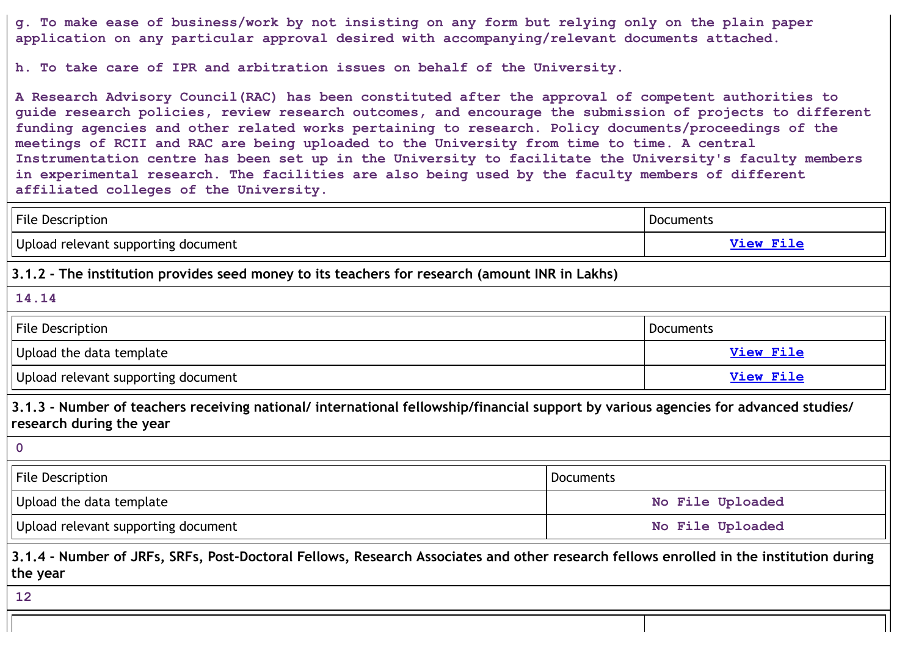g. To make ease of business/work by not insisting on any form but relying only on the plain paper **application on any particular approval desired with accompanying/relevant documents attached.**

**h. To take care of IPR and arbitration issues on behalf of the University.**

**A Research Advisory Council(RAC) has been constituted after the approval of competent authorities to guide research policies, review research outcomes, and encourage the submission of projects to different funding agencies and other related works pertaining to research. Policy documents/proceedings of the meetings of RCII and RAC are being uploaded to the University from time to time. A central Instrumentation centre has been set up in the University to facilitate the University's faculty members in experimental research. The facilities are also being used by the faculty members of different affiliated colleges of the University.**

| <b>File Description</b>                                                                                                                                         |                  | Documents        |  |
|-----------------------------------------------------------------------------------------------------------------------------------------------------------------|------------------|------------------|--|
| Upload relevant supporting document                                                                                                                             |                  | <b>View File</b> |  |
| 3.1.2 - The institution provides seed money to its teachers for research (amount INR in Lakhs)                                                                  |                  |                  |  |
| 14.14                                                                                                                                                           |                  |                  |  |
| <b>File Description</b>                                                                                                                                         |                  | Documents        |  |
| Upload the data template                                                                                                                                        |                  | <b>View File</b> |  |
| Upload relevant supporting document                                                                                                                             |                  | <b>View File</b> |  |
| 3.1.3 - Number of teachers receiving national/ international fellowship/financial support by various agencies for advanced studies/<br>research during the year |                  |                  |  |
| $\mathbf{0}$                                                                                                                                                    |                  |                  |  |
| File Description                                                                                                                                                | <b>Documents</b> |                  |  |
| Upload the data template                                                                                                                                        | No File Uploaded |                  |  |
| Upload relevant supporting document                                                                                                                             | No File Uploaded |                  |  |
| 3.1.4 - Number of JRFs, SRFs, Post-Doctoral Fellows, Research Associates and other research fellows enrolled in the institution during<br>the year              |                  |                  |  |
| 12                                                                                                                                                              |                  |                  |  |
|                                                                                                                                                                 |                  |                  |  |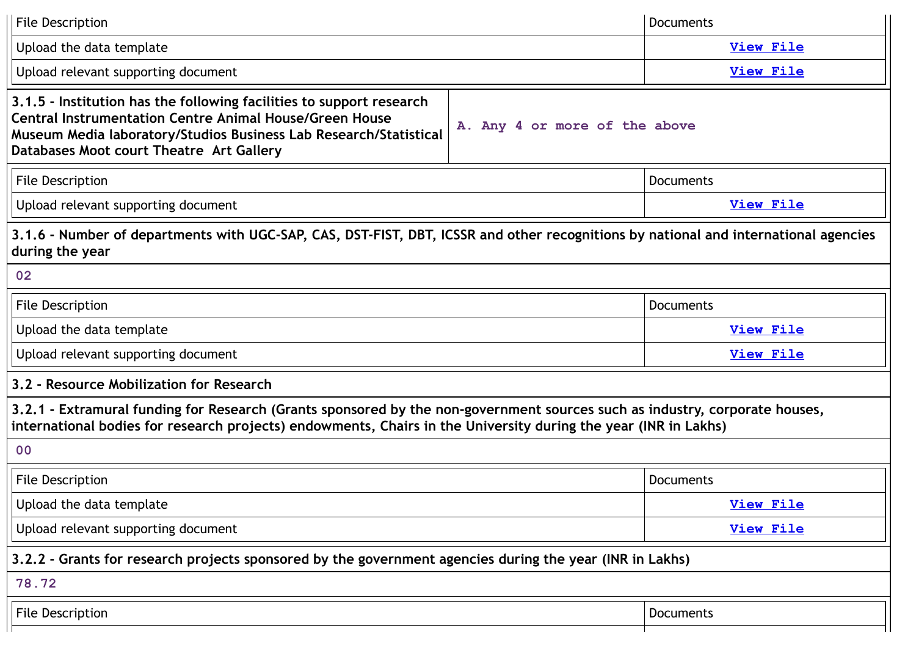| <b>File Description</b>                                                                                                                                                                                                                                                                  | <b>Documents</b> |  |
|------------------------------------------------------------------------------------------------------------------------------------------------------------------------------------------------------------------------------------------------------------------------------------------|------------------|--|
| Upload the data template                                                                                                                                                                                                                                                                 | <b>View File</b> |  |
| Upload relevant supporting document                                                                                                                                                                                                                                                      | <b>View File</b> |  |
| 3.1.5 - Institution has the following facilities to support research<br><b>Central Instrumentation Centre Animal House/Green House</b><br>A. Any 4 or more of the above<br>Museum Media laboratory/Studios Business Lab Research/Statistical<br>Databases Moot court Theatre Art Gallery |                  |  |
| <b>File Description</b>                                                                                                                                                                                                                                                                  | <b>Documents</b> |  |
| Upload relevant supporting document                                                                                                                                                                                                                                                      | <b>View File</b> |  |
| 3.1.6 - Number of departments with UGC-SAP, CAS, DST-FIST, DBT, ICSSR and other recognitions by national and international agencies<br>during the year                                                                                                                                   |                  |  |
| 02                                                                                                                                                                                                                                                                                       |                  |  |
| <b>File Description</b>                                                                                                                                                                                                                                                                  | <b>Documents</b> |  |
| Upload the data template                                                                                                                                                                                                                                                                 | <b>View File</b> |  |
| Upload relevant supporting document                                                                                                                                                                                                                                                      | <b>View File</b> |  |
| 3.2 - Resource Mobilization for Research                                                                                                                                                                                                                                                 |                  |  |
| 3.2.1 - Extramural funding for Research (Grants sponsored by the non-government sources such as industry, corporate houses,<br>international bodies for research projects) endowments, Chairs in the University during the year (INR in Lakhs)                                           |                  |  |
| 00                                                                                                                                                                                                                                                                                       |                  |  |
| <b>File Description</b>                                                                                                                                                                                                                                                                  | <b>Documents</b> |  |
| Upload the data template                                                                                                                                                                                                                                                                 | <b>View File</b> |  |
| Upload relevant supporting document                                                                                                                                                                                                                                                      | <b>View File</b> |  |
| 3.2.2 - Grants for research projects sponsored by the government agencies during the year (INR in Lakhs)                                                                                                                                                                                 |                  |  |
| 78.72                                                                                                                                                                                                                                                                                    |                  |  |
| <b>File Description</b>                                                                                                                                                                                                                                                                  | Documents        |  |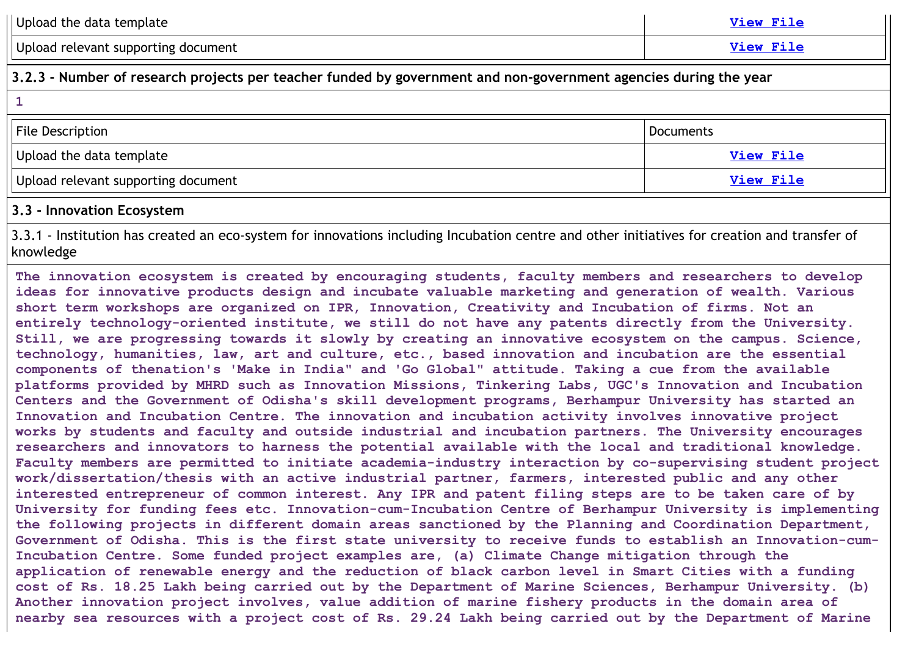| Upload the data template                                                                                                                                                                                                                                                                                                                                                                                                                                                                                                                                                                                                                                                                                                                                                                                                                                                                                                                                                                                                                                                                                                                                                                                                                                                                                                                                                                                                                                                                                                                                                                                                                                                                                                                                                                                                                                                                                                                                                                                                                                                                                                                                                                                                                                                                                                                                                                                            | <b>View File</b> |
|---------------------------------------------------------------------------------------------------------------------------------------------------------------------------------------------------------------------------------------------------------------------------------------------------------------------------------------------------------------------------------------------------------------------------------------------------------------------------------------------------------------------------------------------------------------------------------------------------------------------------------------------------------------------------------------------------------------------------------------------------------------------------------------------------------------------------------------------------------------------------------------------------------------------------------------------------------------------------------------------------------------------------------------------------------------------------------------------------------------------------------------------------------------------------------------------------------------------------------------------------------------------------------------------------------------------------------------------------------------------------------------------------------------------------------------------------------------------------------------------------------------------------------------------------------------------------------------------------------------------------------------------------------------------------------------------------------------------------------------------------------------------------------------------------------------------------------------------------------------------------------------------------------------------------------------------------------------------------------------------------------------------------------------------------------------------------------------------------------------------------------------------------------------------------------------------------------------------------------------------------------------------------------------------------------------------------------------------------------------------------------------------------------------------|------------------|
| Upload relevant supporting document                                                                                                                                                                                                                                                                                                                                                                                                                                                                                                                                                                                                                                                                                                                                                                                                                                                                                                                                                                                                                                                                                                                                                                                                                                                                                                                                                                                                                                                                                                                                                                                                                                                                                                                                                                                                                                                                                                                                                                                                                                                                                                                                                                                                                                                                                                                                                                                 | <b>View File</b> |
| 3.2.3 - Number of research projects per teacher funded by government and non-government agencies during the year                                                                                                                                                                                                                                                                                                                                                                                                                                                                                                                                                                                                                                                                                                                                                                                                                                                                                                                                                                                                                                                                                                                                                                                                                                                                                                                                                                                                                                                                                                                                                                                                                                                                                                                                                                                                                                                                                                                                                                                                                                                                                                                                                                                                                                                                                                    |                  |
| $\mathbf{1}$                                                                                                                                                                                                                                                                                                                                                                                                                                                                                                                                                                                                                                                                                                                                                                                                                                                                                                                                                                                                                                                                                                                                                                                                                                                                                                                                                                                                                                                                                                                                                                                                                                                                                                                                                                                                                                                                                                                                                                                                                                                                                                                                                                                                                                                                                                                                                                                                        |                  |
| <b>File Description</b>                                                                                                                                                                                                                                                                                                                                                                                                                                                                                                                                                                                                                                                                                                                                                                                                                                                                                                                                                                                                                                                                                                                                                                                                                                                                                                                                                                                                                                                                                                                                                                                                                                                                                                                                                                                                                                                                                                                                                                                                                                                                                                                                                                                                                                                                                                                                                                                             | <b>Documents</b> |
| Upload the data template                                                                                                                                                                                                                                                                                                                                                                                                                                                                                                                                                                                                                                                                                                                                                                                                                                                                                                                                                                                                                                                                                                                                                                                                                                                                                                                                                                                                                                                                                                                                                                                                                                                                                                                                                                                                                                                                                                                                                                                                                                                                                                                                                                                                                                                                                                                                                                                            | <b>View File</b> |
| Upload relevant supporting document                                                                                                                                                                                                                                                                                                                                                                                                                                                                                                                                                                                                                                                                                                                                                                                                                                                                                                                                                                                                                                                                                                                                                                                                                                                                                                                                                                                                                                                                                                                                                                                                                                                                                                                                                                                                                                                                                                                                                                                                                                                                                                                                                                                                                                                                                                                                                                                 | <b>View File</b> |
| 3.3 - Innovation Ecosystem                                                                                                                                                                                                                                                                                                                                                                                                                                                                                                                                                                                                                                                                                                                                                                                                                                                                                                                                                                                                                                                                                                                                                                                                                                                                                                                                                                                                                                                                                                                                                                                                                                                                                                                                                                                                                                                                                                                                                                                                                                                                                                                                                                                                                                                                                                                                                                                          |                  |
| 3.3.1 - Institution has created an eco-system for innovations including Incubation centre and other initiatives for creation and transfer of<br>knowledge                                                                                                                                                                                                                                                                                                                                                                                                                                                                                                                                                                                                                                                                                                                                                                                                                                                                                                                                                                                                                                                                                                                                                                                                                                                                                                                                                                                                                                                                                                                                                                                                                                                                                                                                                                                                                                                                                                                                                                                                                                                                                                                                                                                                                                                           |                  |
| The innovation ecosystem is created by encouraging students, faculty members and researchers to develop<br>ideas for innovative products design and incubate valuable marketing and generation of wealth. Various<br>short term workshops are organized on IPR, Innovation, Creativity and Incubation of firms. Not an<br>entirely technology-oriented institute, we still do not have any patents directly from the University.<br>Still, we are progressing towards it slowly by creating an innovative ecosystem on the campus. Science,<br>technology, humanities, law, art and culture, etc., based innovation and incubation are the essential<br>components of thenation's 'Make in India" and 'Go Global" attitude. Taking a cue from the available<br>platforms provided by MHRD such as Innovation Missions, Tinkering Labs, UGC's Innovation and Incubation<br>Centers and the Government of Odisha's skill development programs, Berhampur University has started an<br>Innovation and Incubation Centre. The innovation and incubation activity involves innovative project<br>works by students and faculty and outside industrial and incubation partners. The University encourages<br>researchers and innovators to harness the potential available with the local and traditional knowledge.<br>Faculty members are permitted to initiate academia-industry interaction by co-supervising student project<br>work/dissertation/thesis with an active industrial partner, farmers, interested public and any other<br>interested entrepreneur of common interest. Any IPR and patent filing steps are to be taken care of by<br>University for funding fees etc. Innovation-cum-Incubation Centre of Berhampur University is implementing<br>the following projects in different domain areas sanctioned by the Planning and Coordination Department,<br>Government of Odisha. This is the first state university to receive funds to establish an Innovation-cum-<br>Incubation Centre. Some funded project examples are, (a) Climate Change mitigation through the<br>application of renewable energy and the reduction of black carbon level in Smart Cities with a funding<br>cost of Rs. 18.25 Lakh being carried out by the Department of Marine Sciences, Berhampur University. (b)<br>Another innovation project involves, value addition of marine fishery products in the domain area of |                  |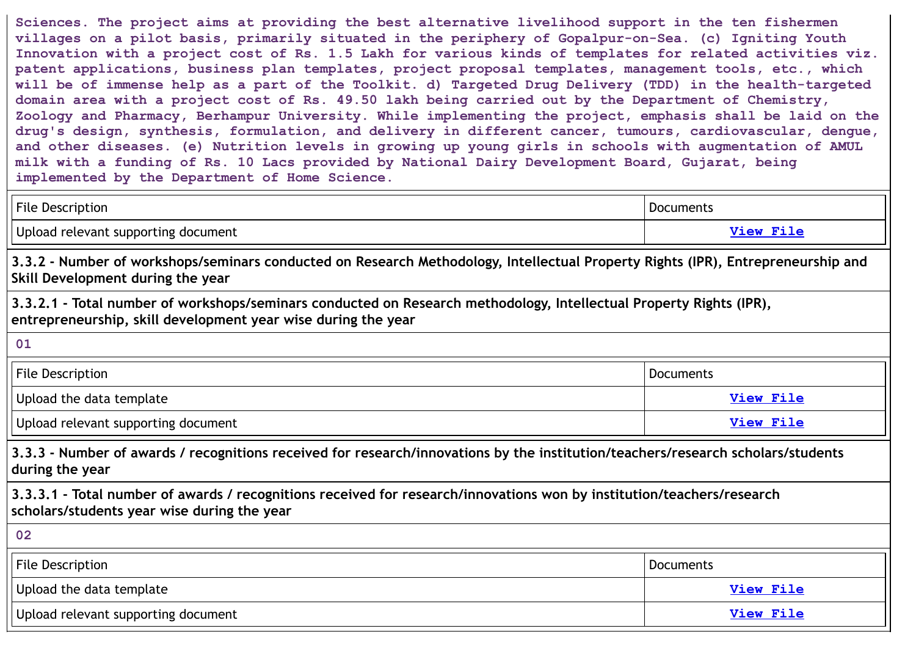**Sciences. The project aims at providing the best alternative livelihood support in the ten fishermen villages on a pilot basis, primarily situated in the periphery of Gopalpur-on-Sea. (c) Igniting Youth** Innovation with a project cost of Rs. 1.5 Lakh for various kinds of templates for related activities viz. **patent applications, business plan templates, project proposal templates, management tools, etc., which** will be of immense help as a part of the Toolkit. d) Targeted Drug Delivery (TDD) in the health-targeted domain area with a project cost of Rs. 49.50 lakh being carried out by the Department of Chemistry, **Zoology and Pharmacy, Berhampur University. While implementing the project, emphasis shall be laid on the drug's design, synthesis, formulation, and delivery in different cancer, tumours, cardiovascular, dengue, and other diseases. (e) Nutrition levels in growing up young girls in schools with augmentation of AMUL milk with a funding of Rs. 10 Lacs provided by National Dairy Development Board, Gujarat, being implemented by the Department of Home Science.**

| File Description                    | <u>Documents</u> |
|-------------------------------------|------------------|
| Upload relevant supporting document | View File        |

3.3.2 - Number of workshops/seminars conducted on Research Methodology, Intellectual Property Rights (IPR), Entrepreneurship and **Skill Development during the year**

**3.3.2.1 - Total number of workshops/seminars conducted on Research methodology, Intellectual Property Rights (IPR), entrepreneurship, skill development year wise during the year**

**01**

| <b>File Description</b>             | Documents        |
|-------------------------------------|------------------|
| Upload the data template            | View File        |
| Upload relevant supporting document | <b>View File</b> |

**3.3.3 - Number of awards / recognitions received for research/innovations by the institution/teachers/research scholars/students during the year**

**3.3.3.1 - Total number of awards / recognitions received for research/innovations won by institution/teachers/research scholars/students year wise during the year**

| 02                                  |                         |
|-------------------------------------|-------------------------|
| File Description                    | Documents               |
| Upload the data template            | <b><u>View File</u></b> |
| Upload relevant supporting document | <b>View File</b>        |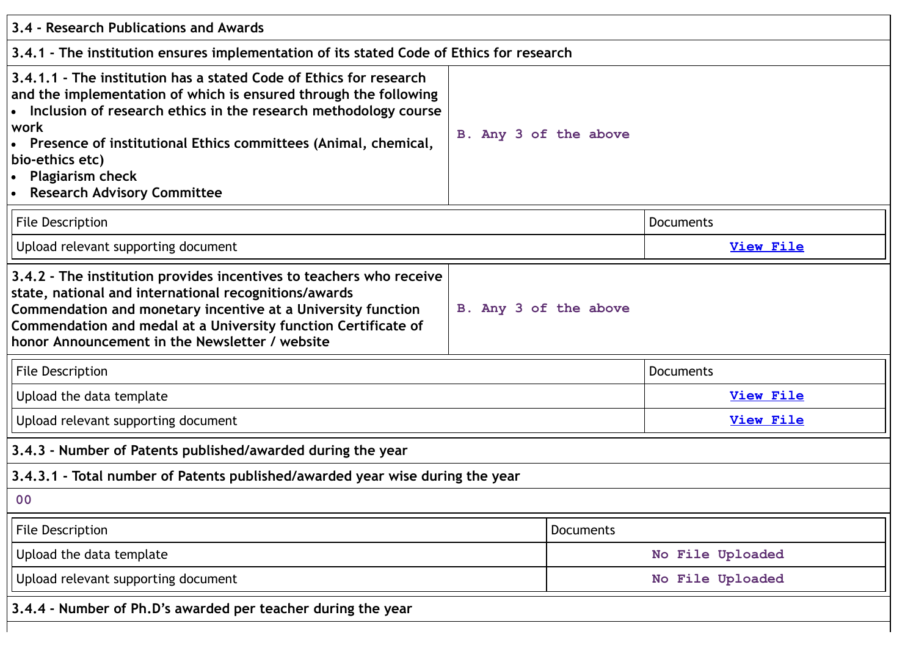| 3.4 - Research Publications and Awards                                                                                                                                                                                                                                                                                                                                                 |                       |                  |  |
|----------------------------------------------------------------------------------------------------------------------------------------------------------------------------------------------------------------------------------------------------------------------------------------------------------------------------------------------------------------------------------------|-----------------------|------------------|--|
| 3.4.1 - The institution ensures implementation of its stated Code of Ethics for research                                                                                                                                                                                                                                                                                               |                       |                  |  |
| 3.4.1.1 - The institution has a stated Code of Ethics for research<br>and the implementation of which is ensured through the following<br>• Inclusion of research ethics in the research methodology course<br>work<br>Presence of institutional Ethics committees (Animal, chemical,<br>bio-ethics etc)<br><b>Plagiarism check</b><br>$\bullet$<br><b>Research Advisory Committee</b> | B. Any 3 of the above |                  |  |
| <b>File Description</b>                                                                                                                                                                                                                                                                                                                                                                |                       | <b>Documents</b> |  |
| Upload relevant supporting document                                                                                                                                                                                                                                                                                                                                                    |                       | <b>View File</b> |  |
| 3.4.2 - The institution provides incentives to teachers who receive<br>state, national and international recognitions/awards<br>Commendation and monetary incentive at a University function<br>Commendation and medal at a University function Certificate of<br>honor Announcement in the Newsletter / website                                                                       | B. Any 3 of the above |                  |  |
| <b>File Description</b>                                                                                                                                                                                                                                                                                                                                                                |                       | <b>Documents</b> |  |
| Upload the data template                                                                                                                                                                                                                                                                                                                                                               |                       | <b>View File</b> |  |
| Upload relevant supporting document                                                                                                                                                                                                                                                                                                                                                    |                       | <b>View File</b> |  |
| 3.4.3 - Number of Patents published/awarded during the year                                                                                                                                                                                                                                                                                                                            |                       |                  |  |
| 3.4.3.1 - Total number of Patents published/awarded year wise during the year                                                                                                                                                                                                                                                                                                          |                       |                  |  |
| 00                                                                                                                                                                                                                                                                                                                                                                                     |                       |                  |  |
| File Description                                                                                                                                                                                                                                                                                                                                                                       | <b>Documents</b>      |                  |  |
| Upload the data template                                                                                                                                                                                                                                                                                                                                                               |                       | No File Uploaded |  |
| Upload relevant supporting document                                                                                                                                                                                                                                                                                                                                                    |                       | No File Uploaded |  |
| 3.4.4 - Number of Ph.D's awarded per teacher during the year                                                                                                                                                                                                                                                                                                                           |                       |                  |  |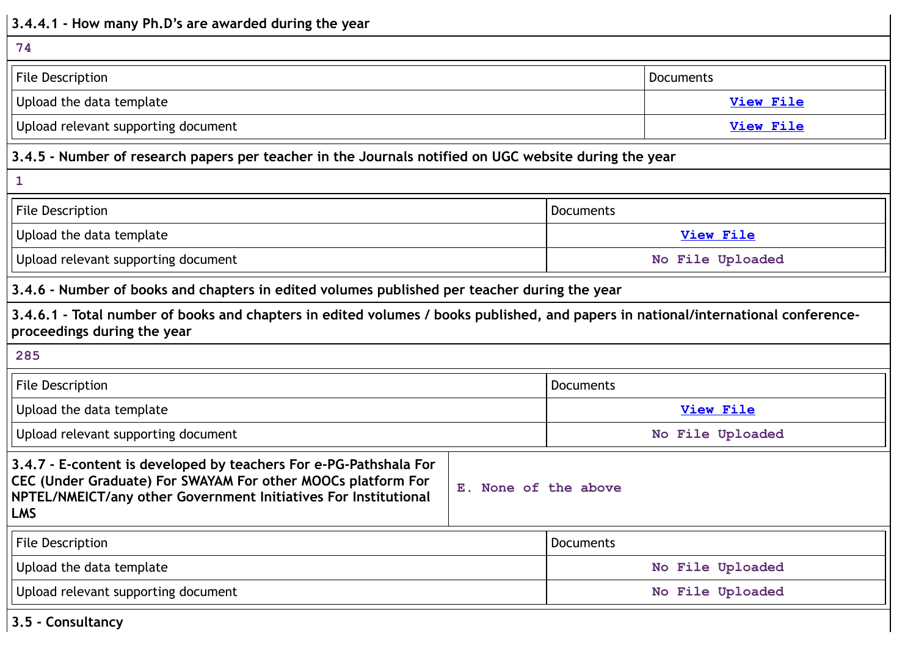| 3.4.4.1 - How many Ph.D's are awarded during the year                                                                                                                                                              |                      |                  |                  |  |
|--------------------------------------------------------------------------------------------------------------------------------------------------------------------------------------------------------------------|----------------------|------------------|------------------|--|
| 74                                                                                                                                                                                                                 |                      |                  |                  |  |
| <b>File Description</b>                                                                                                                                                                                            |                      | <b>Documents</b> |                  |  |
| Upload the data template                                                                                                                                                                                           |                      |                  | <b>View File</b> |  |
| Upload relevant supporting document                                                                                                                                                                                |                      |                  | <b>View File</b> |  |
| 3.4.5 - Number of research papers per teacher in the Journals notified on UGC website during the year                                                                                                              |                      |                  |                  |  |
| $\mathbf{1}$                                                                                                                                                                                                       |                      |                  |                  |  |
| <b>File Description</b>                                                                                                                                                                                            |                      | <b>Documents</b> |                  |  |
| Upload the data template                                                                                                                                                                                           |                      | View File        |                  |  |
| Upload relevant supporting document                                                                                                                                                                                |                      | No File Uploaded |                  |  |
| 3.4.6 - Number of books and chapters in edited volumes published per teacher during the year                                                                                                                       |                      |                  |                  |  |
| 3.4.6.1 - Total number of books and chapters in edited volumes / books published, and papers in national/international conference-<br>proceedings during the year                                                  |                      |                  |                  |  |
| 285                                                                                                                                                                                                                |                      |                  |                  |  |
| <b>File Description</b>                                                                                                                                                                                            | Documents            |                  |                  |  |
| Upload the data template                                                                                                                                                                                           |                      | <b>View File</b> |                  |  |
| Upload relevant supporting document                                                                                                                                                                                |                      |                  | No File Uploaded |  |
| 3.4.7 - E-content is developed by teachers For e-PG-Pathshala For<br>CEC (Under Graduate) For SWAYAM For other MOOCs platform For<br>NPTEL/NMEICT/any other Government Initiatives For Institutional<br><b>LMS</b> | E. None of the above |                  |                  |  |
| File Description                                                                                                                                                                                                   |                      | <b>Documents</b> |                  |  |
| Upload the data template                                                                                                                                                                                           |                      | No File Uploaded |                  |  |
| Upload relevant supporting document                                                                                                                                                                                |                      |                  | No File Uploaded |  |

**3.5 - Consultancy**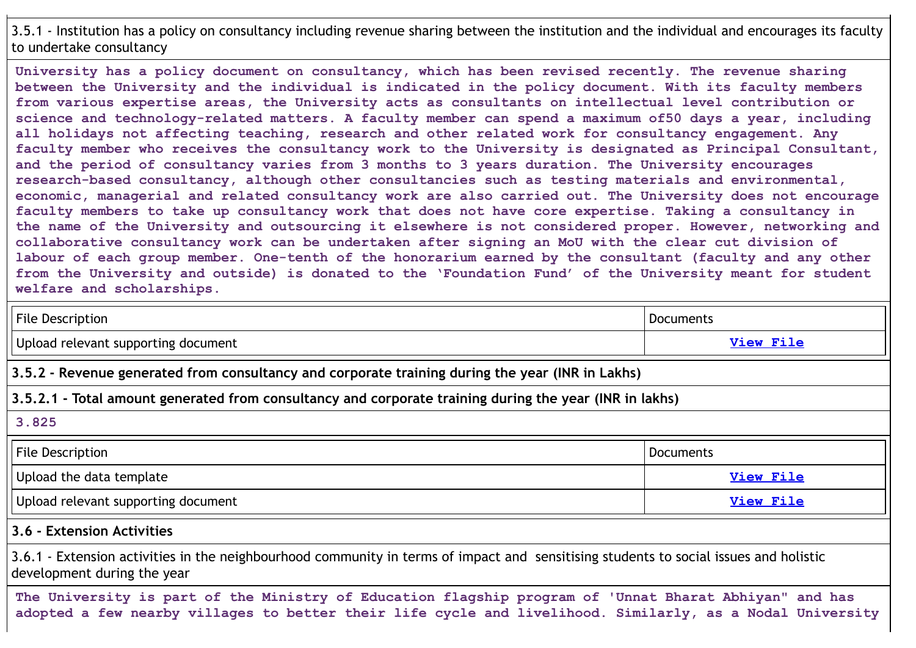# 3.5.1 - Institution has a policy on consultancy including revenue sharing between the institution and the individual and encourages its faculty to undertake consultancy

**University has a policy document on consultancy, which has been revised recently. The revenue sharing between the University and the individual is indicated in the policy document. With its faculty members from various expertise areas, the University acts as consultants on intellectual level contribution or science and technology-related matters. A faculty member can spend a maximum of50 days a year, including all holidays not affecting teaching, research and other related work for consultancy engagement. Any faculty member who receives the consultancy work to the University is designated as Principal Consultant, and the period of consultancy varies from 3 months to 3 years duration. The University encourages research-based consultancy, although other consultancies such as testing materials and environmental, economic, managerial and related consultancy work are also carried out. The University does not encourage faculty members to take up consultancy work that does not have core expertise. Taking a consultancy in the name of the University and outsourcing it elsewhere is not considered proper. However, networking and collaborative consultancy work can be undertaken after signing an MoU with the clear cut division of labour of each group member. One-tenth of the honorarium earned by the consultant (faculty and any other from the University and outside) is donated to the 'Foundation Fund' of the University meant for student welfare and scholarships.**

| <b>File Description</b>                                                                                                                                                                                             | <b>Documents</b> |  |
|---------------------------------------------------------------------------------------------------------------------------------------------------------------------------------------------------------------------|------------------|--|
| Upload relevant supporting document                                                                                                                                                                                 | <b>View File</b> |  |
| 3.5.2 - Revenue generated from consultancy and corporate training during the year (INR in Lakhs)                                                                                                                    |                  |  |
| 3.5.2.1 - Total amount generated from consultancy and corporate training during the year (INR in lakhs)                                                                                                             |                  |  |
| 3.825                                                                                                                                                                                                               |                  |  |
| <b>File Description</b>                                                                                                                                                                                             | <b>Documents</b> |  |
| Upload the data template                                                                                                                                                                                            | <b>View File</b> |  |
| Upload relevant supporting document                                                                                                                                                                                 | <b>View File</b> |  |
| 3.6 - Extension Activities                                                                                                                                                                                          |                  |  |
| 3.6.1 - Extension activities in the neighbourhood community in terms of impact and sensitising students to social issues and holistic<br>development during the year                                                |                  |  |
| The University is part of the Ministry of Education flagship program of 'Unnat Bharat Abhiyan" and has<br>adopted a few nearby villages to better their life cycle and livelihood. Similarly, as a Nodal University |                  |  |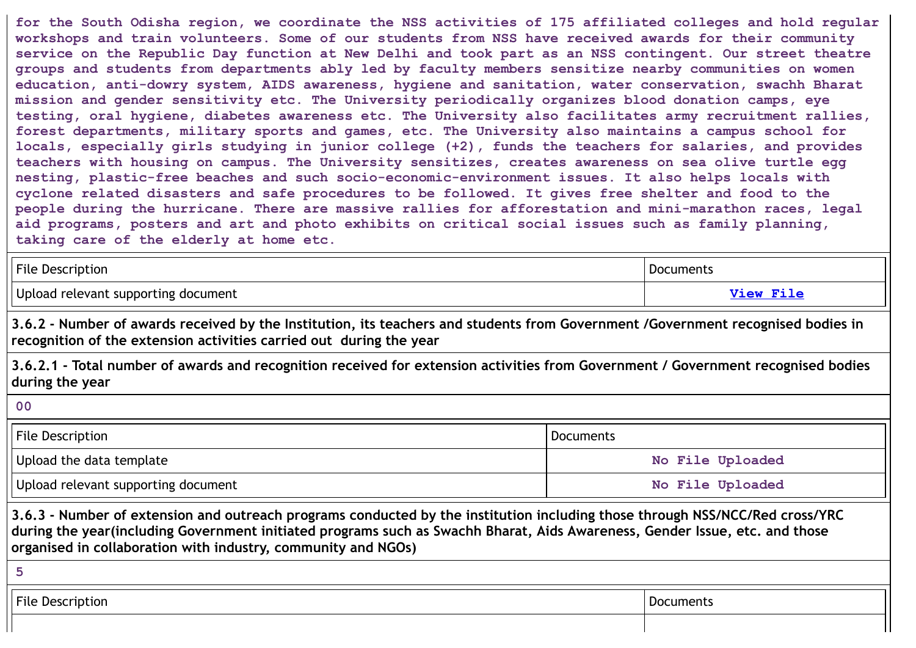**for the South Odisha region, we coordinate the NSS activities of 175 affiliated colleges and hold regular workshops and train volunteers. Some of our students from NSS have received awards for their community** service on the Republic Day function at New Delhi and took part as an NSS contingent. Our street theatre **groups and students from departments ably led by faculty members sensitize nearby communities on women education, anti-dowry system, AIDS awareness, hygiene and sanitation, water conservation, swachh Bharat mission and gender sensitivity etc. The University periodically organizes blood donation camps, eye testing, oral hygiene, diabetes awareness etc. The University also facilitates army recruitment rallies, forest departments, military sports and games, etc. The University also maintains a campus school for locals, especially girls studying in junior college (+2), funds the teachers for salaries, and provides teachers with housing on campus. The University sensitizes, creates awareness on sea olive turtle egg nesting, plastic-free beaches and such socio-economic-environment issues. It also helps locals with cyclone related disasters and safe procedures to be followed. It gives free shelter and food to the people during the hurricane. There are massive rallies for afforestation and mini-marathon races, legal aid programs, posters and art and photo exhibits on critical social issues such as family planning, taking care of the elderly at home etc.**

| <b>File Description</b>             | Documents              |
|-------------------------------------|------------------------|
| Upload relevant supporting document | <i><b>Jiew Fil</b></i> |

3.6.2 - Number of awards received by the Institution, its teachers and students from Government /Government recognised bodies in **recognition of the extension activities carried out during the year**

3.6.2.1 - Total number of awards and recognition received for extension activities from Government / Government recognised bodies **during the year**

**00**

| <b>File Description</b>             | Documents        |  |
|-------------------------------------|------------------|--|
| Upload the data template            | No File Uploaded |  |
| Upload relevant supporting document | No File Uploaded |  |

3.6.3 - Number of extension and outreach programs conducted by the institution including those through NSS/NCC/Red cross/YRC during the year(including Government initiated programs such as Swachh Bharat, Aids Awareness, Gender Issue, etc. and those **organised in collaboration with industry, community and NGOs)**

**5**

**File Description** Documents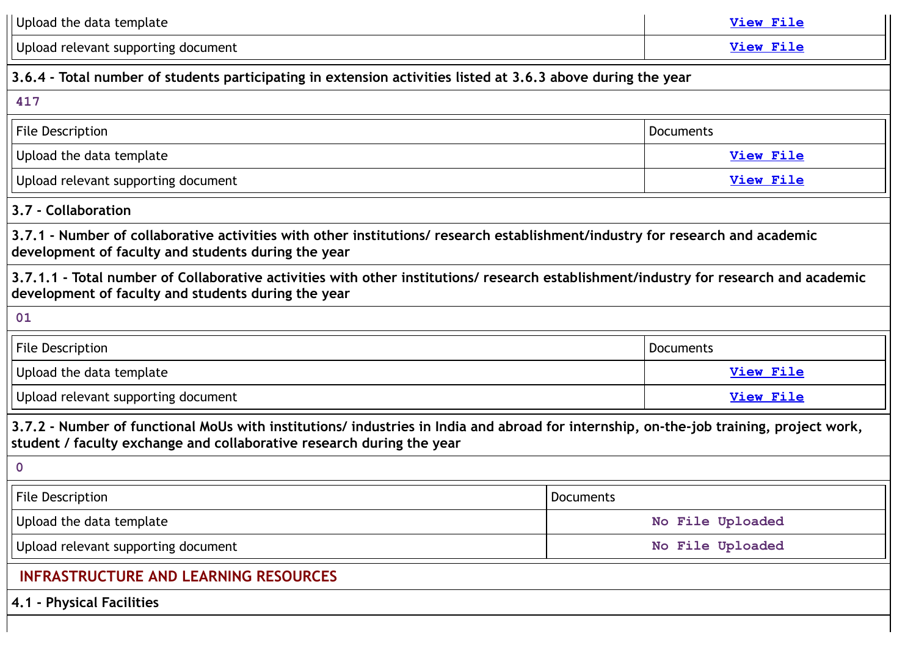| Upload the data template<br>View File                                                                                                                                                                           |  |                  |  |  |
|-----------------------------------------------------------------------------------------------------------------------------------------------------------------------------------------------------------------|--|------------------|--|--|
| Upload relevant supporting document<br><b>View File</b>                                                                                                                                                         |  |                  |  |  |
| 3.6.4 - Total number of students participating in extension activities listed at 3.6.3 above during the year                                                                                                    |  |                  |  |  |
| 417                                                                                                                                                                                                             |  |                  |  |  |
| Documents<br><b>File Description</b>                                                                                                                                                                            |  |                  |  |  |
| Upload the data template                                                                                                                                                                                        |  | <b>View File</b> |  |  |
| Upload relevant supporting document                                                                                                                                                                             |  | <b>View File</b> |  |  |
| 3.7 - Collaboration                                                                                                                                                                                             |  |                  |  |  |
| 3.7.1 - Number of collaborative activities with other institutions/ research establishment/industry for research and academic<br>development of faculty and students during the year                            |  |                  |  |  |
| 3.7.1.1 - Total number of Collaborative activities with other institutions/ research establishment/industry for research and academic<br>development of faculty and students during the year                    |  |                  |  |  |
| 01                                                                                                                                                                                                              |  |                  |  |  |
| <b>File Description</b><br>Documents                                                                                                                                                                            |  |                  |  |  |
| Upload the data template<br><b>View File</b>                                                                                                                                                                    |  |                  |  |  |
| Upload relevant supporting document                                                                                                                                                                             |  | <b>View File</b> |  |  |
| 3.7.2 - Number of functional MoUs with institutions/ industries in India and abroad for internship, on-the-job training, project work,<br>student / faculty exchange and collaborative research during the year |  |                  |  |  |
| $\mathbf 0$                                                                                                                                                                                                     |  |                  |  |  |
| File Description<br>Documents                                                                                                                                                                                   |  |                  |  |  |
| Upload the data template<br>No File Uploaded                                                                                                                                                                    |  |                  |  |  |
| Upload relevant supporting document<br>No File Uploaded                                                                                                                                                         |  |                  |  |  |
| <b>INFRASTRUCTURE AND LEARNING RESOURCES</b>                                                                                                                                                                    |  |                  |  |  |
| 4.1 - Physical Facilities                                                                                                                                                                                       |  |                  |  |  |
|                                                                                                                                                                                                                 |  |                  |  |  |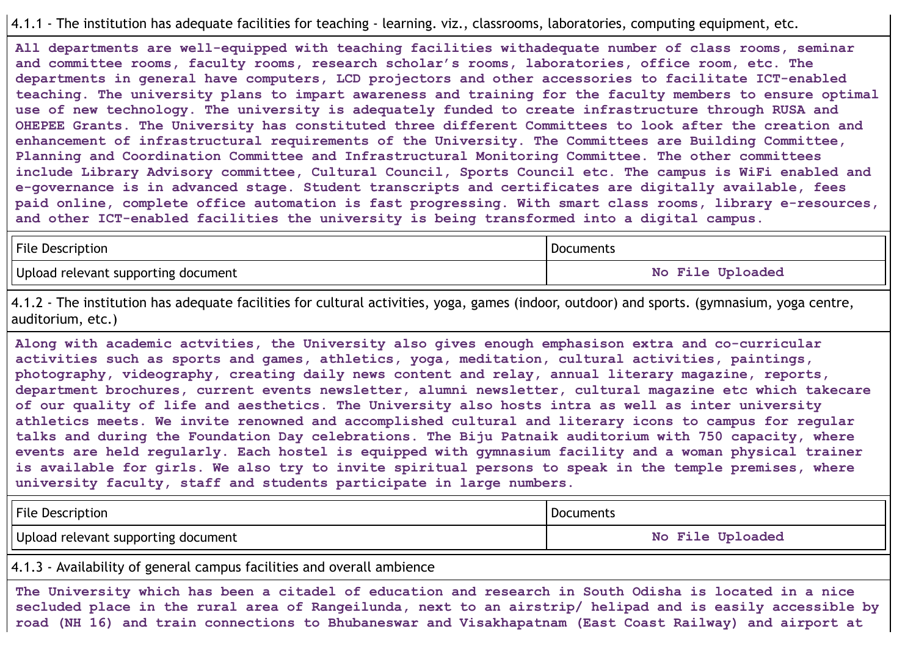#### 4.1.1 - The institution has adequate facilities for teaching - learning. viz., classrooms, laboratories, computing equipment, etc.

**All departments are well-equipped with teaching facilities withadequate number of class rooms, seminar and committee rooms, faculty rooms, research scholar's rooms, laboratories, office room, etc. The departments in general have computers, LCD projectors and other accessories to facilitate ICT-enabled teaching. The university plans to impart awareness and training for the faculty members to ensure optimal use of new technology. The university is adequately funded to create infrastructure through RUSA and OHEPEE Grants. The University has constituted three different Committees to look after the creation and enhancement of infrastructural requirements of the University. The Committees are Building Committee, Planning and Coordination Committee and Infrastructural Monitoring Committee. The other committees include Library Advisory committee, Cultural Council, Sports Council etc. The campus is WiFi enabled and e-governance is in advanced stage. Student transcripts and certificates are digitally available, fees paid online, complete office automation is fast progressing. With smart class rooms, library e-resources, and other ICT-enabled facilities the university is being transformed into a digital campus.**

| <b>File Description</b>             | Documents                         |  |
|-------------------------------------|-----------------------------------|--|
| Upload relevant supporting document | <b>File Uploaded</b><br><b>No</b> |  |

4.1.2 - The institution has adequate facilities for cultural activities, yoga, games (indoor, outdoor) and sports. (gymnasium, yoga centre, auditorium, etc.)

**Along with academic actvities, the University also gives enough emphasison extra and co-curricular activities such as sports and games, athletics, yoga, meditation, cultural activities, paintings, photography, videography, creating daily news content and relay, annual literary magazine, reports, department brochures, current events newsletter, alumni newsletter, cultural magazine etc which takecare of our quality of life and aesthetics. The University also hosts intra as well as inter university athletics meets. We invite renowned and accomplished cultural and literary icons to campus for regular talks and during the Foundation Day celebrations. The Biju Patnaik auditorium with 750 capacity, where events are held regularly. Each hostel is equipped with gymnasium facility and a woman physical trainer** is available for girls. We also try to invite spiritual persons to speak in the temple premises, where **university faculty, staff and students participate in large numbers.**

| <b>File Description</b>             | Documents        |
|-------------------------------------|------------------|
| Upload relevant supporting document | No File Uploaded |

4.1.3 - Availability of general campus facilities and overall ambience

The University which has been a citadel of education and research in South Odisha is located in a nice secluded place in the rural area of Rangeilunda, next to an airstrip/ helipad and is easily accessible by **road (NH 16) and train connections to Bhubaneswar and Visakhapatnam (East Coast Railway) and airport at**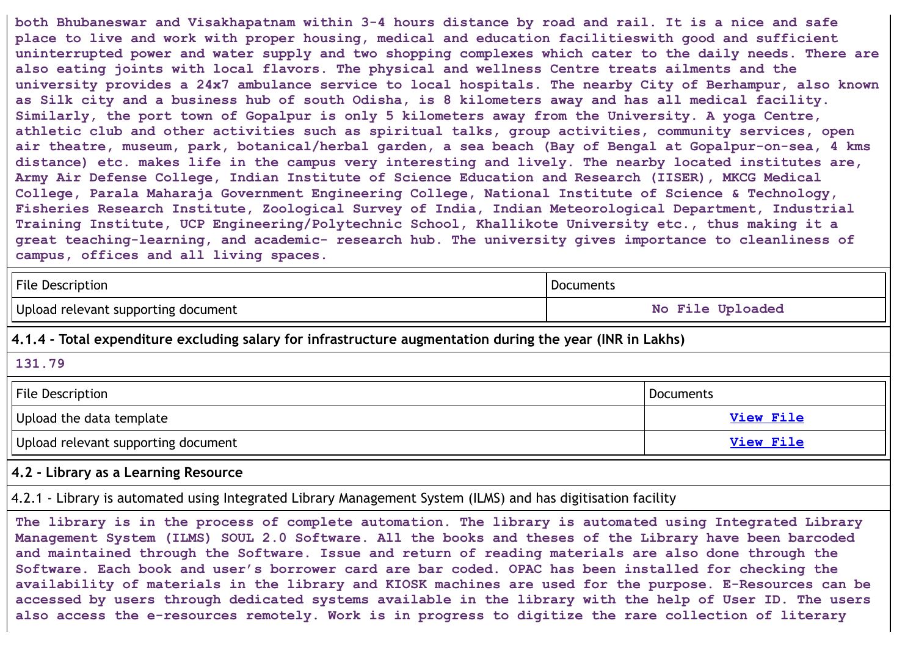both Bhubaneswar and Visakhapatnam within 3-4 hours distance by road and rail. It is a nice and safe **place to live and work with proper housing, medical and education facilitieswith good and sufficient uninterrupted power and water supply and two shopping complexes which cater to the daily needs. There are also eating joints with local flavors. The physical and wellness Centre treats ailments and the university provides a 24x7 ambulance service to local hospitals. The nearby City of Berhampur, also known** as Silk city and a business hub of south Odisha, is 8 kilometers away and has all medical facility. **Similarly, the port town of Gopalpur is only 5 kilometers away from the University. A yoga Centre, athletic club and other activities such as spiritual talks, group activities, community services, open air theatre, museum, park, botanical/herbal garden, a sea beach (Bay of Bengal at Gopalpur-on-sea, 4 kms distance) etc. makes life in the campus very interesting and lively. The nearby located institutes are, Army Air Defense College, Indian Institute of Science Education and Research (IISER), MKCG Medical College, Parala Maharaja Government Engineering College, National Institute of Science & Technology, Fisheries Research Institute, Zoological Survey of India, Indian Meteorological Department, Industrial Training Institute, UCP Engineering/Polytechnic School, Khallikote University etc., thus making it a great teaching-learning, and academic- research hub. The university gives importance to cleanliness of campus, offices and all living spaces.**

| File Description                    | Documents        |
|-------------------------------------|------------------|
| Upload relevant supporting document | No File Uploaded |

**4.1.4 - Total expenditure excluding salary for infrastructure augmentation during the year (INR in Lakhs)**

#### **131.79**

| <b>File Description</b>             | Documents        |
|-------------------------------------|------------------|
| Upload the data template            | <b>View File</b> |
| Upload relevant supporting document | View File        |

#### **4.2 - Library as a Learning Resource**

4.2.1 - Library is automated using Integrated Library Management System (ILMS) and has digitisation facility

**The library is in the process of complete automation. The library is automated using Integrated Library Management System (ILMS) SOUL 2.0 Software. All the books and theses of the Library have been barcoded and maintained through the Software. Issue and return of reading materials are also done through the Software. Each book and user's borrower card are bar coded. OPAC has been installed for checking the availability of materials in the library and KIOSK machines are used for the purpose. E-Resources can be** accessed by users through dedicated systems available in the library with the help of User ID. The users **also access the e-resources remotely. Work is in progress to digitize the rare collection of literary**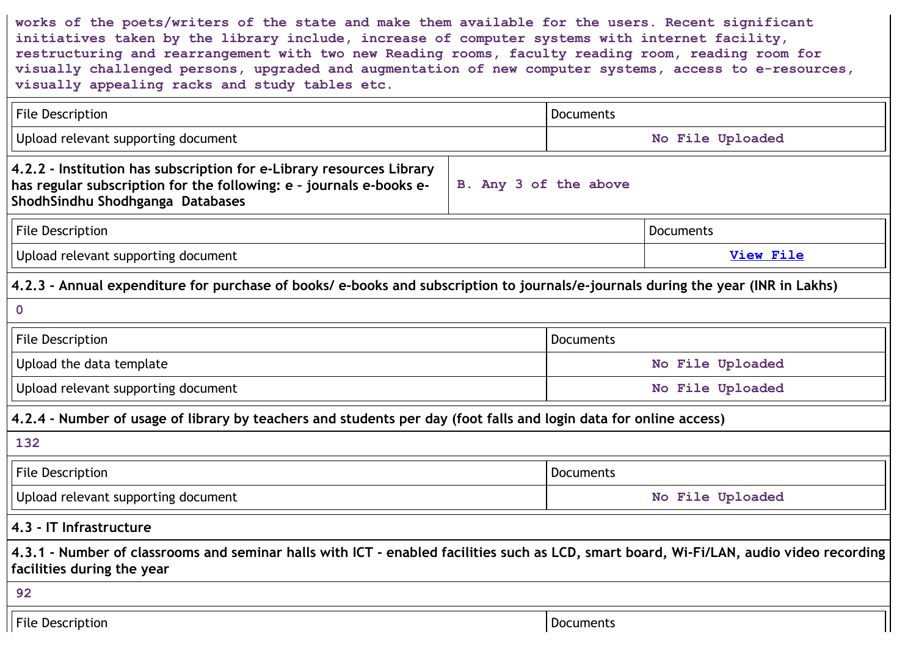**works of the poets/writers of the state and make them available for the users. Recent significant initiatives taken by the library include, increase of computer systems with internet facility, restructuring and rearrangement with two new Reading rooms, faculty reading room, reading room for visually challenged persons, upgraded and augmentation of new computer systems, access to e-resources, visually appealing racks and study tables etc.**

| <b>File Description</b>                                                                                                                                                         |                       | <b>Documents</b> |                  |  |
|---------------------------------------------------------------------------------------------------------------------------------------------------------------------------------|-----------------------|------------------|------------------|--|
| Upload relevant supporting document                                                                                                                                             |                       | No File Uploaded |                  |  |
| 4.2.2 - Institution has subscription for e-Library resources Library<br>has regular subscription for the following: e - journals e-books e-<br>ShodhSindhu Shodhganga Databases | B. Any 3 of the above |                  |                  |  |
| File Description                                                                                                                                                                |                       |                  | <b>Documents</b> |  |
| Upload relevant supporting document                                                                                                                                             |                       |                  | <b>View File</b> |  |
| 4.2.3 - Annual expenditure for purchase of books/e-books and subscription to journals/e-journals during the year (INR in Lakhs)                                                 |                       |                  |                  |  |
| $\mathbf 0$                                                                                                                                                                     |                       |                  |                  |  |
| <b>File Description</b>                                                                                                                                                         |                       | <b>Documents</b> |                  |  |
| Upload the data template                                                                                                                                                        |                       |                  | No File Uploaded |  |
| Upload relevant supporting document                                                                                                                                             |                       | No File Uploaded |                  |  |
| 4.2.4 - Number of usage of library by teachers and students per day (foot falls and login data for online access)                                                               |                       |                  |                  |  |
| 132                                                                                                                                                                             |                       |                  |                  |  |
| File Description                                                                                                                                                                |                       | Documents        |                  |  |
| Upload relevant supporting document                                                                                                                                             |                       | No File Uploaded |                  |  |
| 4.3 - IT Infrastructure                                                                                                                                                         |                       |                  |                  |  |
| 4.3.1 - Number of classrooms and seminar halls with ICT - enabled facilities such as LCD, smart board, Wi-Fi/LAN, audio video recording<br>facilities during the year           |                       |                  |                  |  |
| 92                                                                                                                                                                              |                       |                  |                  |  |
| <b>File Description</b>                                                                                                                                                         |                       | Documents        |                  |  |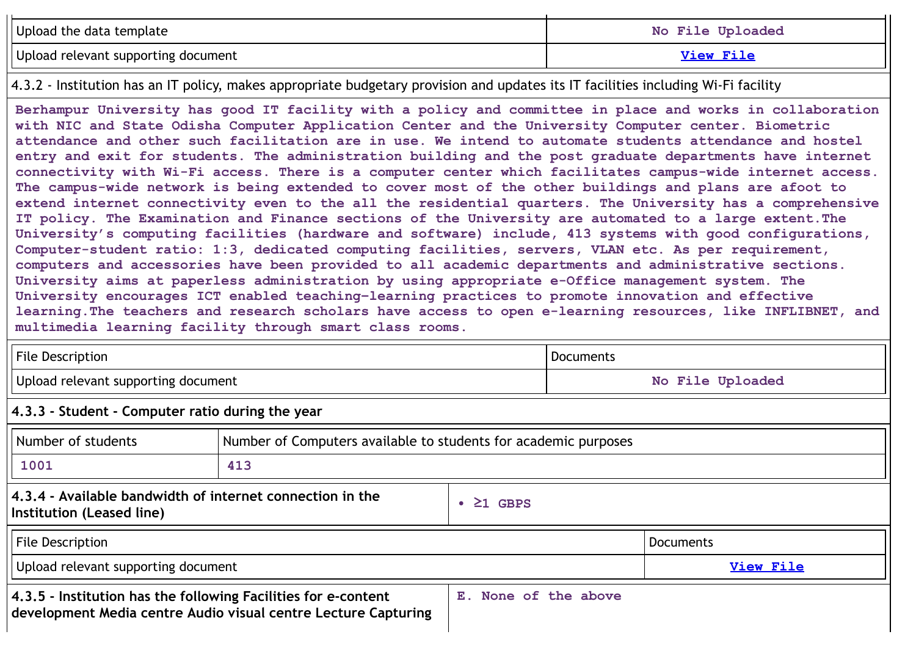| Upload the data template            | No File Uploaded |
|-------------------------------------|------------------|
| Upload relevant supporting document | View File        |

4.3.2 - Institution has an IT policy, makes appropriate budgetary provision and updates its IT facilities including Wi-Fi facility

**Berhampur University has good IT facility with a policy and committee in place and works in collaboration with NIC and State Odisha Computer Application Center and the University Computer center. Biometric attendance and other such facilitation are in use. We intend to automate students attendance and hostel entry and exit for students. The administration building and the post graduate departments have internet connectivity with Wi-Fi access. There is a computer center which facilitates campus-wide internet access.** The campus-wide network is being extended to cover most of the other buildings and plans are afoot to **extend internet connectivity even to the all the residential quarters. The University has a comprehensive IT policy. The Examination and Finance sections of the University are automated to a large extent.The University's computing facilities (hardware and software) include, 413 systems with good configurations, Computer-student ratio: 1:3, dedicated computing facilities, servers, VLAN etc. As per requirement, computers and accessories have been provided to all academic departments and administrative sections. University aims at paperless administration by using appropriate e-Office management system. The University encourages ICT enabled teaching–learning practices to promote innovation and effective learning.The teachers and research scholars have access to open e-learning resources, like INFLIBNET, and multimedia learning facility through smart class rooms.**

| <b>File Description</b>                                                                                                             |                                                                 | <b>Documents</b>     |  |  |
|-------------------------------------------------------------------------------------------------------------------------------------|-----------------------------------------------------------------|----------------------|--|--|
| Upload relevant supporting document                                                                                                 |                                                                 | No File Uploaded     |  |  |
| $ 4.3.3$ - Student - Computer ratio during the year                                                                                 |                                                                 |                      |  |  |
| Number of students                                                                                                                  | Number of Computers available to students for academic purposes |                      |  |  |
| 1001                                                                                                                                | 413                                                             |                      |  |  |
| $ $ 4.3.4 - Available bandwidth of internet connection in the<br>$\geq$ 1 GBPS<br>Institution (Leased line)                         |                                                                 |                      |  |  |
| File Description<br><b>Documents</b>                                                                                                |                                                                 |                      |  |  |
| Upload relevant supporting document<br><b>View File</b>                                                                             |                                                                 |                      |  |  |
| $ 4.3.5$ - Institution has the following Facilities for e-content<br>development Media centre Audio visual centre Lecture Capturing |                                                                 | E. None of the above |  |  |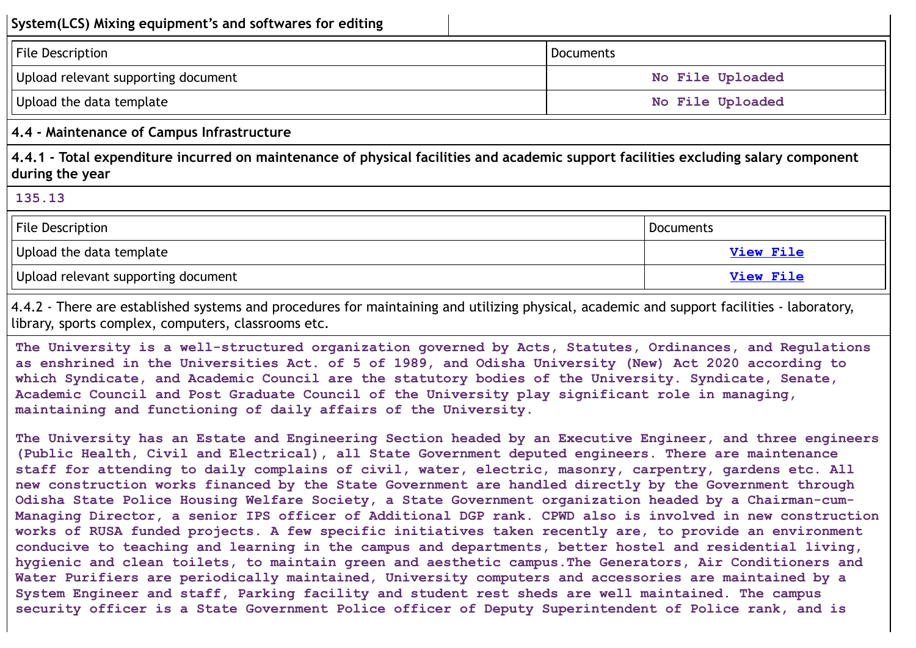| System(LCS) Mixing equipment's and softwares for editing                                                                                                                                                                                                                                                                                                                                                                     |                  |                  |
|------------------------------------------------------------------------------------------------------------------------------------------------------------------------------------------------------------------------------------------------------------------------------------------------------------------------------------------------------------------------------------------------------------------------------|------------------|------------------|
| File Description                                                                                                                                                                                                                                                                                                                                                                                                             | <b>Documents</b> |                  |
| Upload relevant supporting document                                                                                                                                                                                                                                                                                                                                                                                          |                  | No File Uploaded |
| Upload the data template                                                                                                                                                                                                                                                                                                                                                                                                     |                  | No File Uploaded |
| 4.4 - Maintenance of Campus Infrastructure                                                                                                                                                                                                                                                                                                                                                                                   |                  |                  |
| 4.4.1 - Total expenditure incurred on maintenance of physical facilities and academic support facilities excluding salary component<br>during the year                                                                                                                                                                                                                                                                       |                  |                  |
| 135.13                                                                                                                                                                                                                                                                                                                                                                                                                       |                  |                  |
| File Description<br><b>Documents</b>                                                                                                                                                                                                                                                                                                                                                                                         |                  |                  |
| Upload the data template<br><b>View File</b>                                                                                                                                                                                                                                                                                                                                                                                 |                  |                  |
| Upload relevant supporting document                                                                                                                                                                                                                                                                                                                                                                                          |                  | View File        |
| 4.4.2 - There are established systems and procedures for maintaining and utilizing physical, academic and support facilities - laboratory,<br>library, sports complex, computers, classrooms etc.                                                                                                                                                                                                                            |                  |                  |
| The University is a well-structured organization governed by Acts, Statutes, Ordinances, and Regulations<br>as enshrined in the Universities Act. of 5 of 1989, and Odisha University (New) Act 2020 according to<br>which Syndicate, and Academic Council are the statutory bodies of the University. Syndicate, Senate,<br>Academic Council and Post Graduate Council of the University play significant role in managing, |                  |                  |

**The University has an Estate and Engineering Section headed by an Executive Engineer, and three engineers (Public Health, Civil and Electrical), all State Government deputed engineers. There are maintenance staff for attending to daily complains of civil, water, electric, masonry, carpentry, gardens etc. All new construction works financed by the State Government are handled directly by the Government through Odisha State Police Housing Welfare Society, a State Government organization headed by a Chairman-cum-Managing Director, a senior IPS officer of Additional DGP rank. CPWD also is involved in new construction works of RUSA funded projects. A few specific initiatives taken recently are, to provide an environment conducive to teaching and learning in the campus and departments, better hostel and residential living, hygienic and clean toilets, to maintain green and aesthetic campus.The Generators, Air Conditioners and Water Purifiers are periodically maintained, University computers and accessories are maintained by a System Engineer and staff, Parking facility and student rest sheds are well maintained. The campus security officer is a State Government Police officer of Deputy Superintendent of Police rank, and is**

**maintaining and functioning of daily affairs of the University.**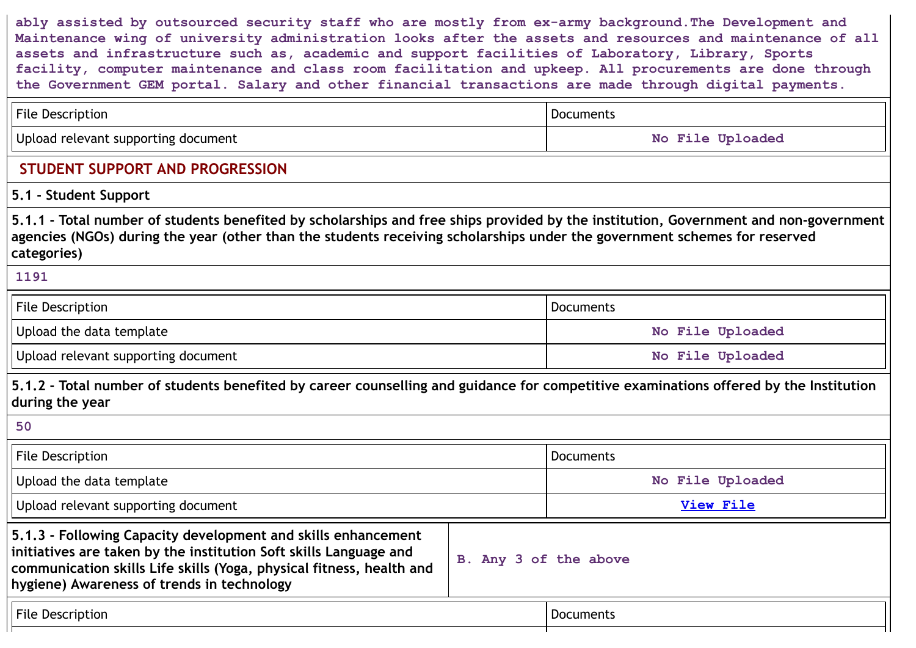**ably assisted by outsourced security staff who are mostly from ex-army background.The Development and Maintenance wing of university administration looks after the assets and resources and maintenance of all assets and infrastructure such as, academic and support facilities of Laboratory, Library, Sports facility, computer maintenance and class room facilitation and upkeep. All procurements are done through the Government GEM portal. Salary and other financial transactions are made through digital payments.**

| <b>File Description</b>                                                                                                                                                                                                                                                          |                       | <b>Documents</b> |  |  |
|----------------------------------------------------------------------------------------------------------------------------------------------------------------------------------------------------------------------------------------------------------------------------------|-----------------------|------------------|--|--|
| Upload relevant supporting document                                                                                                                                                                                                                                              |                       | No File Uploaded |  |  |
| STUDENT SUPPORT AND PROGRESSION                                                                                                                                                                                                                                                  |                       |                  |  |  |
| 5.1 - Student Support                                                                                                                                                                                                                                                            |                       |                  |  |  |
| 5.1.1 - Total number of students benefited by scholarships and free ships provided by the institution, Government and non-government<br>agencies (NGOs) during the year (other than the students receiving scholarships under the government schemes for reserved<br>categories) |                       |                  |  |  |
| 1191                                                                                                                                                                                                                                                                             |                       |                  |  |  |
| <b>File Description</b>                                                                                                                                                                                                                                                          |                       | <b>Documents</b> |  |  |
| Upload the data template                                                                                                                                                                                                                                                         |                       | No File Uploaded |  |  |
| Upload relevant supporting document                                                                                                                                                                                                                                              |                       | No File Uploaded |  |  |
| 5.1.2 - Total number of students benefited by career counselling and guidance for competitive examinations offered by the Institution<br>during the year                                                                                                                         |                       |                  |  |  |
| 50                                                                                                                                                                                                                                                                               |                       |                  |  |  |
| <b>File Description</b>                                                                                                                                                                                                                                                          |                       | <b>Documents</b> |  |  |
| Upload the data template                                                                                                                                                                                                                                                         |                       | No File Uploaded |  |  |
| Upload relevant supporting document                                                                                                                                                                                                                                              |                       | <b>View File</b> |  |  |
| 5.1.3 - Following Capacity development and skills enhancement<br>initiatives are taken by the institution Soft skills Language and<br>communication skills Life skills (Yoga, physical fitness, health and<br>hygiene) Awareness of trends in technology                         | B. Any 3 of the above |                  |  |  |
| <b>File Description</b>                                                                                                                                                                                                                                                          |                       | <b>Documents</b> |  |  |
|                                                                                                                                                                                                                                                                                  |                       |                  |  |  |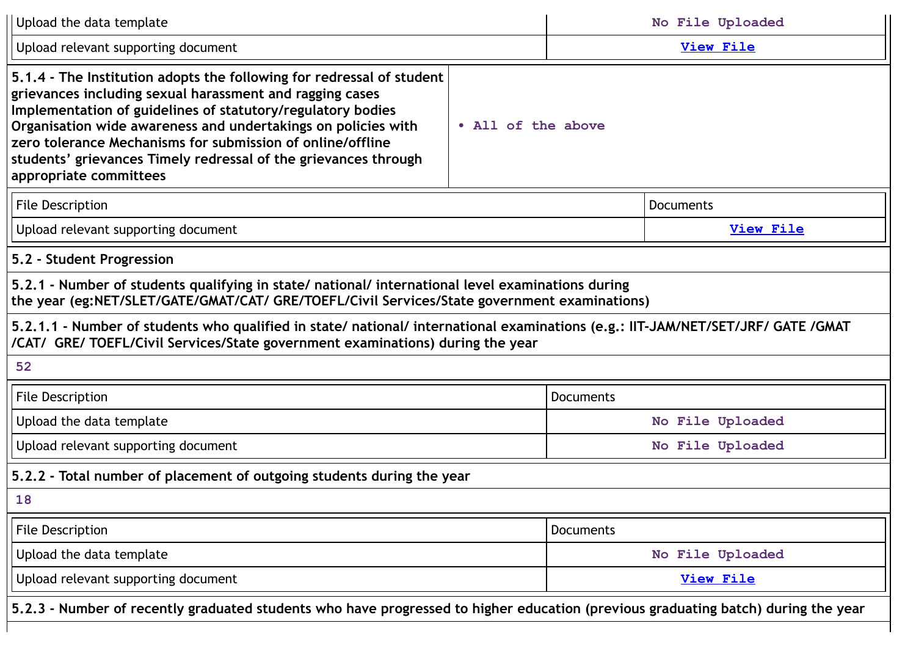| Upload the data template                                                                                                                                                                                                                                                                                                                                                                                                     |                    |                  | No File Uploaded |  |
|------------------------------------------------------------------------------------------------------------------------------------------------------------------------------------------------------------------------------------------------------------------------------------------------------------------------------------------------------------------------------------------------------------------------------|--------------------|------------------|------------------|--|
| Upload relevant supporting document                                                                                                                                                                                                                                                                                                                                                                                          |                    |                  | View File        |  |
| 5.1.4 - The Institution adopts the following for redressal of student<br>grievances including sexual harassment and ragging cases<br>Implementation of guidelines of statutory/regulatory bodies<br>Organisation wide awareness and undertakings on policies with<br>zero tolerance Mechanisms for submission of online/offline<br>students' grievances Timely redressal of the grievances through<br>appropriate committees | • All of the above |                  |                  |  |
| <b>File Description</b>                                                                                                                                                                                                                                                                                                                                                                                                      | Documents          |                  |                  |  |
| Upload relevant supporting document                                                                                                                                                                                                                                                                                                                                                                                          |                    |                  | <b>View File</b> |  |
| 5.2 - Student Progression                                                                                                                                                                                                                                                                                                                                                                                                    |                    |                  |                  |  |
| 5.2.1 - Number of students qualifying in state/ national/ international level examinations during<br>the year (eg:NET/SLET/GATE/GMAT/CAT/ GRE/TOEFL/Civil Services/State government examinations)                                                                                                                                                                                                                            |                    |                  |                  |  |
| 5.2.1.1 - Number of students who qualified in state/ national/ international examinations (e.g.: IIT-JAM/NET/SET/JRF/ GATE /GMAT<br>/CAT/ GRE/ TOEFL/Civil Services/State government examinations) during the year                                                                                                                                                                                                           |                    |                  |                  |  |
| 52                                                                                                                                                                                                                                                                                                                                                                                                                           |                    |                  |                  |  |
| <b>File Description</b>                                                                                                                                                                                                                                                                                                                                                                                                      |                    | <b>Documents</b> |                  |  |
| Upload the data template                                                                                                                                                                                                                                                                                                                                                                                                     |                    | No File Uploaded |                  |  |
| Upload relevant supporting document                                                                                                                                                                                                                                                                                                                                                                                          |                    |                  | No File Uploaded |  |
| 5.2.2 - Total number of placement of outgoing students during the year                                                                                                                                                                                                                                                                                                                                                       |                    |                  |                  |  |
| 18                                                                                                                                                                                                                                                                                                                                                                                                                           |                    |                  |                  |  |
| <b>File Description</b>                                                                                                                                                                                                                                                                                                                                                                                                      |                    | <b>Documents</b> |                  |  |
| Upload the data template                                                                                                                                                                                                                                                                                                                                                                                                     |                    | No File Uploaded |                  |  |
| Upload relevant supporting document                                                                                                                                                                                                                                                                                                                                                                                          |                    | <b>View File</b> |                  |  |
| 5.2.3 - Number of recently graduated students who have progressed to higher education (previous graduating batch) during the year                                                                                                                                                                                                                                                                                            |                    |                  |                  |  |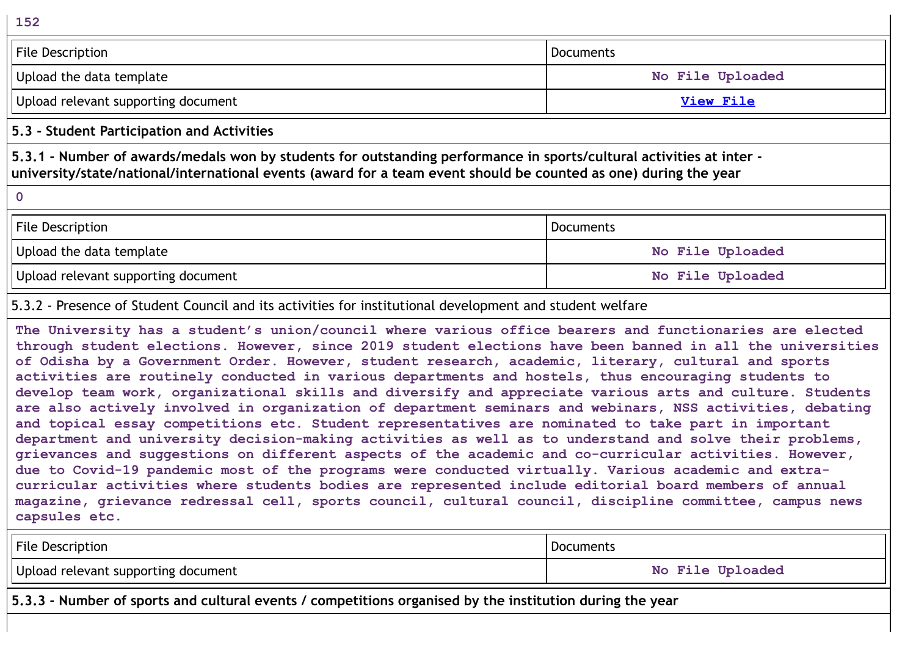| 152                                                                                                              |                                                                                                                      |
|------------------------------------------------------------------------------------------------------------------|----------------------------------------------------------------------------------------------------------------------|
| <b>File Description</b>                                                                                          | <b>Documents</b>                                                                                                     |
| Upload the data template                                                                                         | No File Uploaded                                                                                                     |
| Upload relevant supporting document                                                                              | <b>View File</b>                                                                                                     |
| 5.3 - Student Participation and Activities                                                                       |                                                                                                                      |
| university/state/national/international events (award for a team event should be counted as one) during the year | 5.3.1 - Number of awards/medals won by students for outstanding performance in sports/cultural activities at inter - |
| $\mathbf 0$                                                                                                      |                                                                                                                      |
| <b>File Description</b>                                                                                          | <b>Documents</b>                                                                                                     |
| Upload the data template                                                                                         | No File Uploaded                                                                                                     |
| Upload relevant supporting document                                                                              | No File Uploaded                                                                                                     |

5.3.2 - Presence of Student Council and its activities for institutional development and student welfare

**The University has a student's union/council where various office bearers and functionaries are elected through student elections. However, since 2019 student elections have been banned in all the universities of Odisha by a Government Order. However, student research, academic, literary, cultural and sports activities are routinely conducted in various departments and hostels, thus encouraging students to develop team work, organizational skills and diversify and appreciate various arts and culture. Students are also actively involved in organization of department seminars and webinars, NSS activities, debating and topical essay competitions etc. Student representatives are nominated to take part in important department and university decision-making activities as well as to understand and solve their problems, grievances and suggestions on different aspects of the academic and co-curricular activities. However, due to Covid-19 pandemic most of the programs were conducted virtually. Various academic and extracurricular activities where students bodies are represented include editorial board members of annual magazine, grievance redressal cell, sports council, cultural council, discipline committee, campus news capsules etc.**

| <b>File Description</b>                                                                                  | Documents        |  |
|----------------------------------------------------------------------------------------------------------|------------------|--|
| Upload relevant supporting document                                                                      | No File Uploaded |  |
| 5.3.3 - Number of sports and cultural events / competitions organised by the institution during the year |                  |  |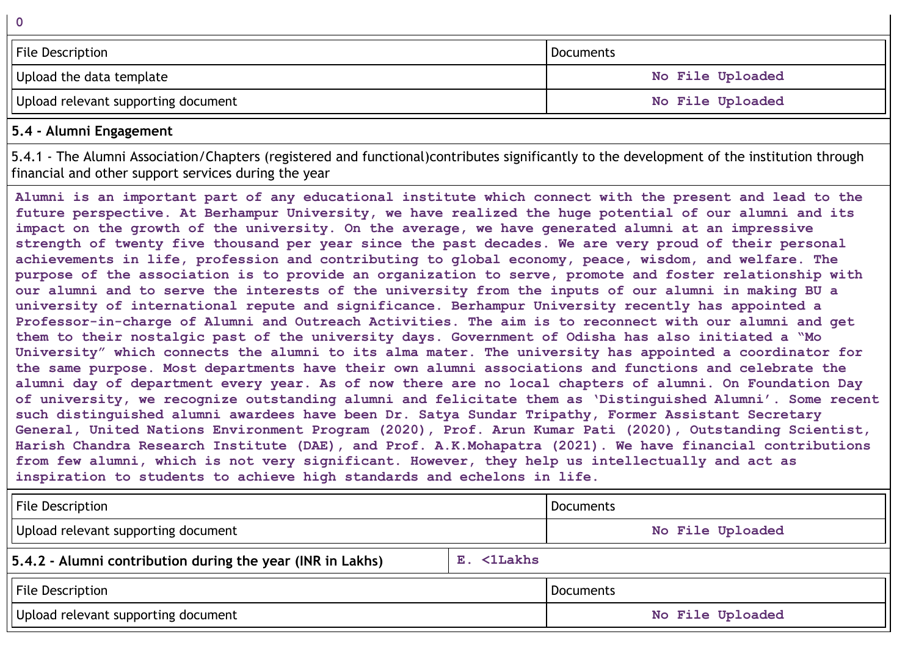| File Description                    | Documents        |
|-------------------------------------|------------------|
| Upload the data template            | No File Uploaded |
| Upload relevant supporting document | No File Uploaded |

# **5.4 - Alumni Engagement**

5.4.1 - The Alumni Association/Chapters (registered and functional)contributes significantly to the development of the institution through financial and other support services during the year

Alumni is an important part of any educational institute which connect with the present and lead to the **future perspective. At Berhampur University, we have realized the huge potential of our alumni and its impact on the growth of the university. On the average, we have generated alumni at an impressive** strength of twenty five thousand per year since the past decades. We are very proud of their personal **achievements in life, profession and contributing to global economy, peace, wisdom, and welfare. The purpose of the association is to provide an organization to serve, promote and foster relationship with** our alumni and to serve the interests of the university from the inputs of our alumni in making BU a **university of international repute and significance. Berhampur University recently has appointed a Professor-in-charge of Alumni and Outreach Activities. The aim is to reconnect with our alumni and get them to their nostalgic past of the university days. Government of Odisha has also initiated a "Mo University" which connects the alumni to its alma mater. The university has appointed a coordinator for the same purpose. Most departments have their own alumni associations and functions and celebrate the** alumni day of department every year. As of now there are no local chapters of alumni. On Foundation Day **of university, we recognize outstanding alumni and felicitate them as 'Distinguished Alumni'. Some recent such distinguished alumni awardees have been Dr. Satya Sundar Tripathy, Former Assistant Secretary General, United Nations Environment Program (2020), Prof. Arun Kumar Pati (2020), Outstanding Scientist, Harish Chandra Research Institute (DAE), and Prof. A.K.Mohapatra (2021). We have financial contributions from few alumni, which is not very significant. However, they help us intellectually and act as inspiration to students to achieve high standards and echelons in life.**

| <b>File Description</b>                                                  |  | l Documents      |  |  |
|--------------------------------------------------------------------------|--|------------------|--|--|
| Upload relevant supporting document                                      |  | No File Uploaded |  |  |
| 5.4.2 - Alumni contribution during the year (INR in Lakhs)<br>E. <1Lakhs |  |                  |  |  |
| <b>File Description</b>                                                  |  | l Documents      |  |  |
| Upload relevant supporting document                                      |  | No File Uploaded |  |  |

**0**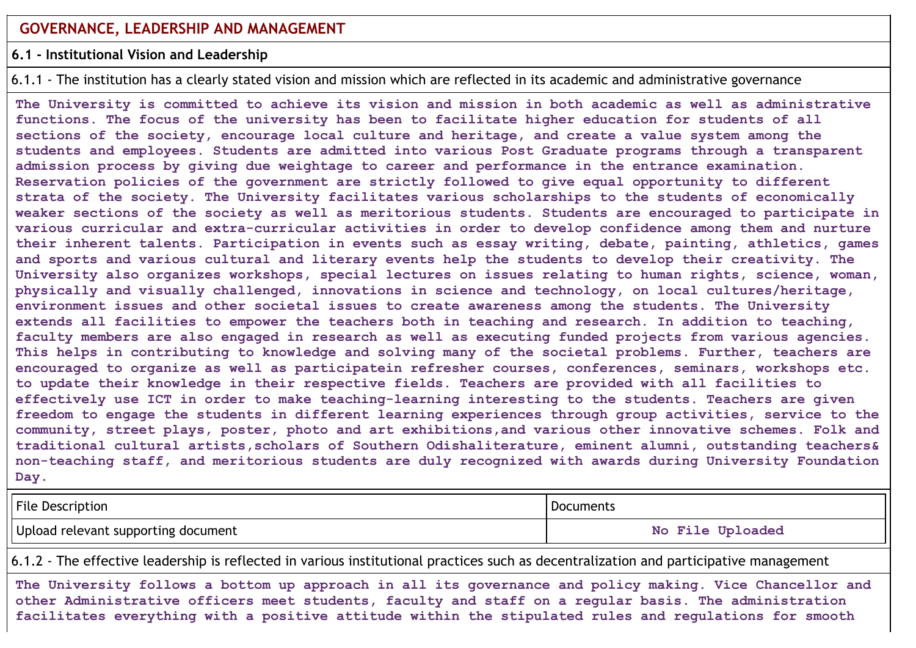#### **6.1 - Institutional Vision and Leadership**

6.1.1 - The institution has a clearly stated vision and mission which are reflected in its academic and administrative governance

**The University is committed to achieve its vision and mission in both academic as well as administrative functions. The focus of the university has been to facilitate higher education for students of all sections of the society, encourage local culture and heritage, and create a value system among the students and employees. Students are admitted into various Post Graduate programs through a transparent admission process by giving due weightage to career and performance in the entrance examination. Reservation policies of the government are strictly followed to give equal opportunity to different strata of the society. The University facilitates various scholarships to the students of economically weaker sections of the society as well as meritorious students. Students are encouraged to participate in various curricular and extra-curricular activities in order to develop confidence among them and nurture their inherent talents. Participation in events such as essay writing, debate, painting, athletics, games and sports and various cultural and literary events help the students to develop their creativity. The University also organizes workshops, special lectures on issues relating to human rights, science, woman, physically and visually challenged, innovations in science and technology, on local cultures/heritage, environment issues and other societal issues to create awareness among the students. The University extends all facilities to empower the teachers both in teaching and research. In addition to teaching, faculty members are also engaged in research as well as executing funded projects from various agencies. This helps in contributing to knowledge and solving many of the societal problems. Further, teachers are encouraged to organize as well as participatein refresher courses, conferences, seminars, workshops etc. to update their knowledge in their respective fields. Teachers are provided with all facilities to effectively use ICT in order to make teaching-learning interesting to the students. Teachers are given freedom to engage the students in different learning experiences through group activities, service to the community, street plays, poster, photo and art exhibitions,and various other innovative schemes. Folk and traditional cultural artists,scholars of Southern Odishaliterature, eminent alumni, outstanding teachers& non-teaching staff, and meritorious students are duly recognized with awards during University Foundation Day.**

| <b>File Description</b>             | <b>Documents</b> |  |
|-------------------------------------|------------------|--|
| Upload relevant supporting document | No File Uploaded |  |

6.1.2 - The effective leadership is reflected in various institutional practices such as decentralization and participative management

**The University follows a bottom up approach in all its governance and policy making. Vice Chancellor and other Administrative officers meet students, faculty and staff on a regular basis. The administration facilitates everything with a positive attitude within the stipulated rules and regulations for smooth**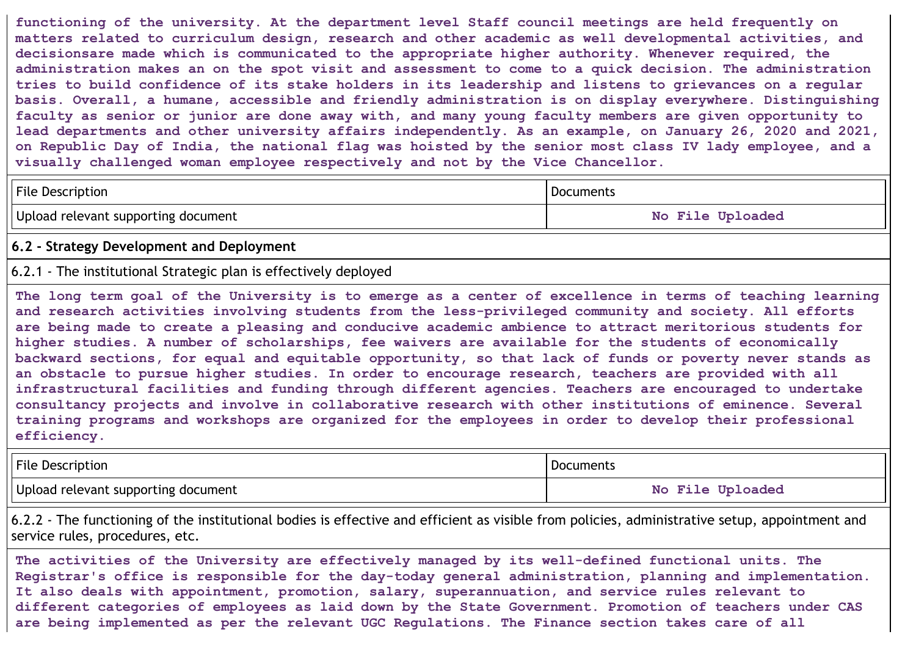**functioning of the university. At the department level Staff council meetings are held frequently on matters related to curriculum design, research and other academic as well developmental activities, and decisionsare made which is communicated to the appropriate higher authority. Whenever required, the administration makes an on the spot visit and assessment to come to a quick decision. The administration** tries to build confidence of its stake holders in its leadership and listens to grievances on a regular **basis. Overall, a humane, accessible and friendly administration is on display everywhere. Distinguishing** faculty as senior or junior are done away with, and many young faculty members are given opportunity to **lead departments and other university affairs independently. As an example, on January 26, 2020 and 2021,** on Republic Day of India, the national flag was hoisted by the senior most class IV lady employee, and a **visually challenged woman employee respectively and not by the Vice Chancellor.**

File Description **Documents** 

Upload relevant supporting document **No File No File Uploaded** 

#### **6.2 - Strategy Development and Deployment**

### 6.2.1 - The institutional Strategic plan is effectively deployed

The long term goal of the University is to emerge as a center of excellence in terms of teaching learning **and research activities involving students from the less-privileged community and society. All efforts are being made to create a pleasing and conducive academic ambience to attract meritorious students for higher studies. A number of scholarships, fee waivers are available for the students of economically backward sections, for equal and equitable opportunity, so that lack of funds or poverty never stands as an obstacle to pursue higher studies. In order to encourage research, teachers are provided with all infrastructural facilities and funding through different agencies. Teachers are encouraged to undertake consultancy projects and involve in collaborative research with other institutions of eminence. Several training programs and workshops are organized for the employees in order to develop their professional efficiency.**

| File Description                    | Documents        |
|-------------------------------------|------------------|
| Upload relevant supporting document | No File Uploaded |

6.2.2 - The functioning of the institutional bodies is effective and efficient as visible from policies, administrative setup, appointment and service rules, procedures, etc.

**The activities of the University are effectively managed by its well-defined functional units. The Registrar's office is responsible for the day-today general administration, planning and implementation. It also deals with appointment, promotion, salary, superannuation, and service rules relevant to different categories of employees as laid down by the State Government. Promotion of teachers under CAS are being implemented as per the relevant UGC Regulations. The Finance section takes care of all**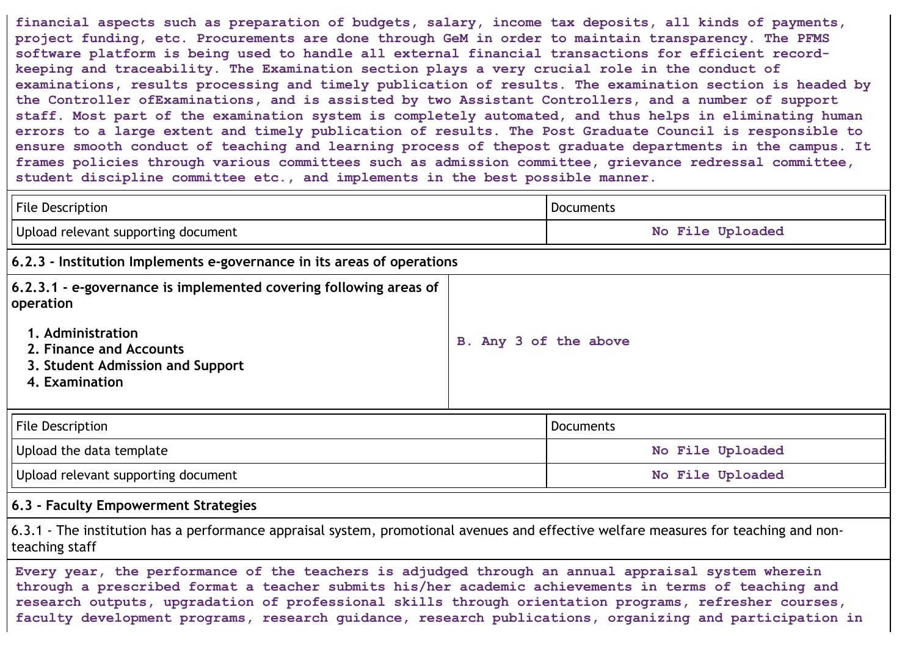**financial aspects such as preparation of budgets, salary, income tax deposits, all kinds of payments, project funding, etc. Procurements are done through GeM in order to maintain transparency. The PFMS software platform is being used to handle all external financial transactions for efficient recordkeeping and traceability. The Examination section plays a very crucial role in the conduct of examinations, results processing and timely publication of results. The examination section is headed by the Controller ofExaminations, and is assisted by two Assistant Controllers, and a number of support staff. Most part of the examination system is completely automated, and thus helps in eliminating human errors to a large extent and timely publication of results. The Post Graduate Council is responsible to ensure smooth conduct of teaching and learning process of thepost graduate departments in the campus. It frames policies through various committees such as admission committee, grievance redressal committee, student discipline committee etc., and implements in the best possible manner.**

| <b>File Description</b>                                                                                                                                                                |                       | Documents        |  |
|----------------------------------------------------------------------------------------------------------------------------------------------------------------------------------------|-----------------------|------------------|--|
| Upload relevant supporting document                                                                                                                                                    |                       | No File Uploaded |  |
| $\vert$ 6.2.3 - Institution Implements e-governance in its areas of operations                                                                                                         |                       |                  |  |
| 6.2.3.1 - e-governance is implemented covering following areas of<br>  operation<br>1. Administration<br>2. Finance and Accounts<br>3. Student Admission and Support<br>4. Examination | B. Any 3 of the above |                  |  |
| <b>File Description</b>                                                                                                                                                                |                       | Documents        |  |
| Upload the data template                                                                                                                                                               |                       | No File Uploaded |  |
| Upload relevant supporting document                                                                                                                                                    |                       | No File Uploaded |  |

### **6.3 - Faculty Empowerment Strategies**

6.3.1 - The institution has a performance appraisal system, promotional avenues and effective welfare measures for teaching and nonteaching staff

**Every year, the performance of the teachers is adjudged through an annual appraisal system wherein through a prescribed format a teacher submits his/her academic achievements in terms of teaching and research outputs, upgradation of professional skills through orientation programs, refresher courses, faculty development programs, research guidance, research publications, organizing and participation in**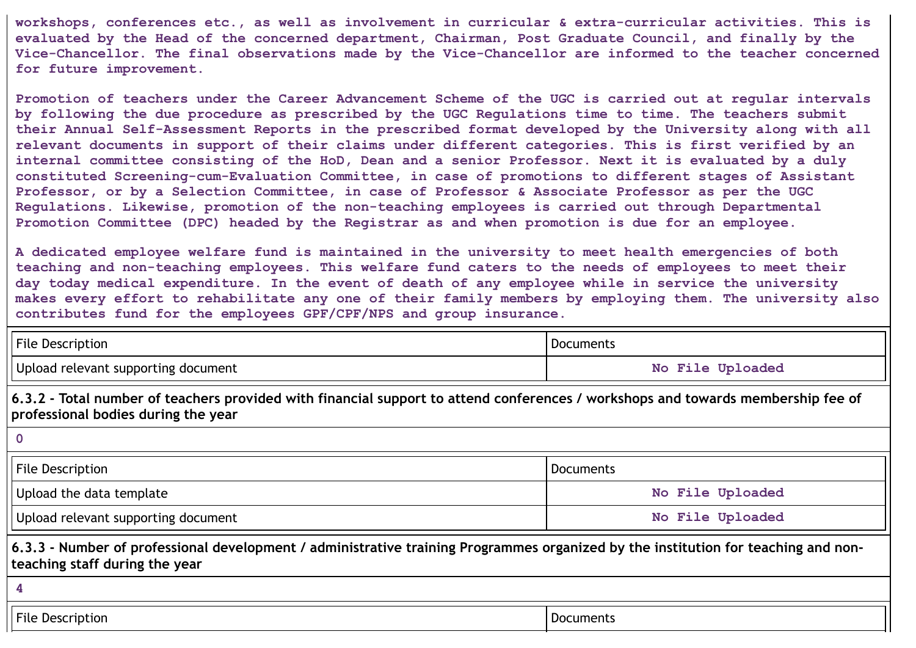**workshops, conferences etc., as well as involvement in curricular & extra-curricular activities. This is evaluated by the Head of the concerned department, Chairman, Post Graduate Council, and finally by the Vice-Chancellor. The final observations made by the Vice-Chancellor are informed to the teacher concerned for future improvement.**

**Promotion of teachers under the Career Advancement Scheme of the UGC is carried out at regular intervals by following the due procedure as prescribed by the UGC Regulations time to time. The teachers submit their Annual Self-Assessment Reports in the prescribed format developed by the University along with all relevant documents in support of their claims under different categories. This is first verified by an** internal committee consisting of the HoD, Dean and a senior Professor. Next it is evaluated by a duly **constituted Screening-cum-Evaluation Committee, in case of promotions to different stages of Assistant Professor, or by a Selection Committee, in case of Professor & Associate Professor as per the UGC Regulations. Likewise, promotion of the non-teaching employees is carried out through Departmental Promotion Committee (DPC) headed by the Registrar as and when promotion is due for an employee.**

**A dedicated employee welfare fund is maintained in the university to meet health emergencies of both teaching and non-teaching employees. This welfare fund caters to the needs of employees to meet their day today medical expenditure. In the event of death of any employee while in service the university makes every effort to rehabilitate any one of their family members by employing them. The university also contributes fund for the employees GPF/CPF/NPS and group insurance.**

| File Description                                                                                                                                                        | Documents        |  |  |
|-------------------------------------------------------------------------------------------------------------------------------------------------------------------------|------------------|--|--|
| Upload relevant supporting document                                                                                                                                     | No File Uploaded |  |  |
| 6.3.2 - Total number of teachers provided with financial support to attend conferences / workshops and towards membership fee of<br>professional bodies during the year |                  |  |  |
|                                                                                                                                                                         |                  |  |  |
| File Description                                                                                                                                                        | Documents        |  |  |
| Upload the data template                                                                                                                                                | No File Uploaded |  |  |
| Upload relevant supporting document                                                                                                                                     | No File Uploaded |  |  |

6.3.3 - Number of professional development / administrative training Programmes organized by the institution for teaching and non**teaching staff during the year**

**4**

File Description Documents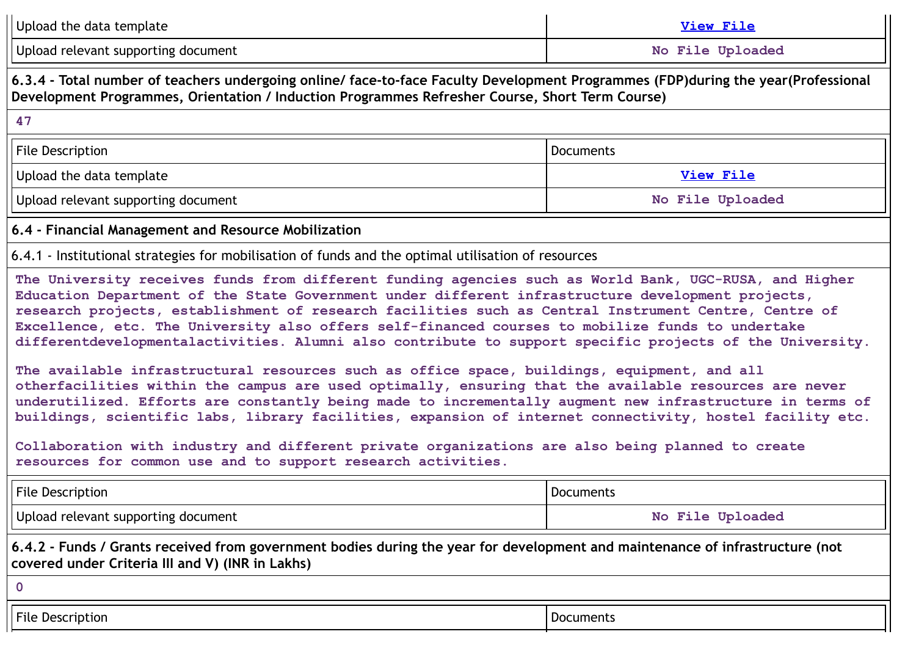| Upload the data template                                                                                                                                                                                                                                                                                                                                                                                                                                                                                                                                                                                                                                                                                                                                                                                                                                                                                                                                                                                                                                                                                                                | <b>View File</b> |  |  |
|-----------------------------------------------------------------------------------------------------------------------------------------------------------------------------------------------------------------------------------------------------------------------------------------------------------------------------------------------------------------------------------------------------------------------------------------------------------------------------------------------------------------------------------------------------------------------------------------------------------------------------------------------------------------------------------------------------------------------------------------------------------------------------------------------------------------------------------------------------------------------------------------------------------------------------------------------------------------------------------------------------------------------------------------------------------------------------------------------------------------------------------------|------------------|--|--|
| Upload relevant supporting document<br>No File Uploaded                                                                                                                                                                                                                                                                                                                                                                                                                                                                                                                                                                                                                                                                                                                                                                                                                                                                                                                                                                                                                                                                                 |                  |  |  |
| 6.3.4 - Total number of teachers undergoing online/ face-to-face Faculty Development Programmes (FDP)during the year(Professional<br>Development Programmes, Orientation / Induction Programmes Refresher Course, Short Term Course)                                                                                                                                                                                                                                                                                                                                                                                                                                                                                                                                                                                                                                                                                                                                                                                                                                                                                                    |                  |  |  |
| 47                                                                                                                                                                                                                                                                                                                                                                                                                                                                                                                                                                                                                                                                                                                                                                                                                                                                                                                                                                                                                                                                                                                                      |                  |  |  |
| <b>File Description</b><br><b>Documents</b>                                                                                                                                                                                                                                                                                                                                                                                                                                                                                                                                                                                                                                                                                                                                                                                                                                                                                                                                                                                                                                                                                             |                  |  |  |
| Upload the data template                                                                                                                                                                                                                                                                                                                                                                                                                                                                                                                                                                                                                                                                                                                                                                                                                                                                                                                                                                                                                                                                                                                | <b>View File</b> |  |  |
| Upload relevant supporting document                                                                                                                                                                                                                                                                                                                                                                                                                                                                                                                                                                                                                                                                                                                                                                                                                                                                                                                                                                                                                                                                                                     | No File Uploaded |  |  |
| 6.4 - Financial Management and Resource Mobilization                                                                                                                                                                                                                                                                                                                                                                                                                                                                                                                                                                                                                                                                                                                                                                                                                                                                                                                                                                                                                                                                                    |                  |  |  |
| 6.4.1 - Institutional strategies for mobilisation of funds and the optimal utilisation of resources                                                                                                                                                                                                                                                                                                                                                                                                                                                                                                                                                                                                                                                                                                                                                                                                                                                                                                                                                                                                                                     |                  |  |  |
| The University receives funds from different funding agencies such as World Bank, UGC-RUSA, and Higher<br>Education Department of the State Government under different infrastructure development projects,<br>research projects, establishment of research facilities such as Central Instrument Centre, Centre of<br>Excellence, etc. The University also offers self-financed courses to mobilize funds to undertake<br>differentdevelopmentalactivities. Alumni also contribute to support specific projects of the University.<br>The available infrastructural resources such as office space, buildings, equipment, and all<br>otherfacilities within the campus are used optimally, ensuring that the available resources are never<br>underutilized. Efforts are constantly being made to incrementally augment new infrastructure in terms of<br>buildings, scientific labs, library facilities, expansion of internet connectivity, hostel facility etc.<br>Collaboration with industry and different private organizations are also being planned to create<br>resources for common use and to support research activities. |                  |  |  |
| File Description<br><b>Documents</b>                                                                                                                                                                                                                                                                                                                                                                                                                                                                                                                                                                                                                                                                                                                                                                                                                                                                                                                                                                                                                                                                                                    |                  |  |  |
| Upload relevant supporting document                                                                                                                                                                                                                                                                                                                                                                                                                                                                                                                                                                                                                                                                                                                                                                                                                                                                                                                                                                                                                                                                                                     | No File Uploaded |  |  |
| 6.4.2 - Funds / Grants received from government bodies during the year for development and maintenance of infrastructure (not<br>covered under Criteria III and V) (INR in Lakhs)                                                                                                                                                                                                                                                                                                                                                                                                                                                                                                                                                                                                                                                                                                                                                                                                                                                                                                                                                       |                  |  |  |
| $\mathbf 0$                                                                                                                                                                                                                                                                                                                                                                                                                                                                                                                                                                                                                                                                                                                                                                                                                                                                                                                                                                                                                                                                                                                             |                  |  |  |
| <b>File Description</b><br><b>Documents</b>                                                                                                                                                                                                                                                                                                                                                                                                                                                                                                                                                                                                                                                                                                                                                                                                                                                                                                                                                                                                                                                                                             |                  |  |  |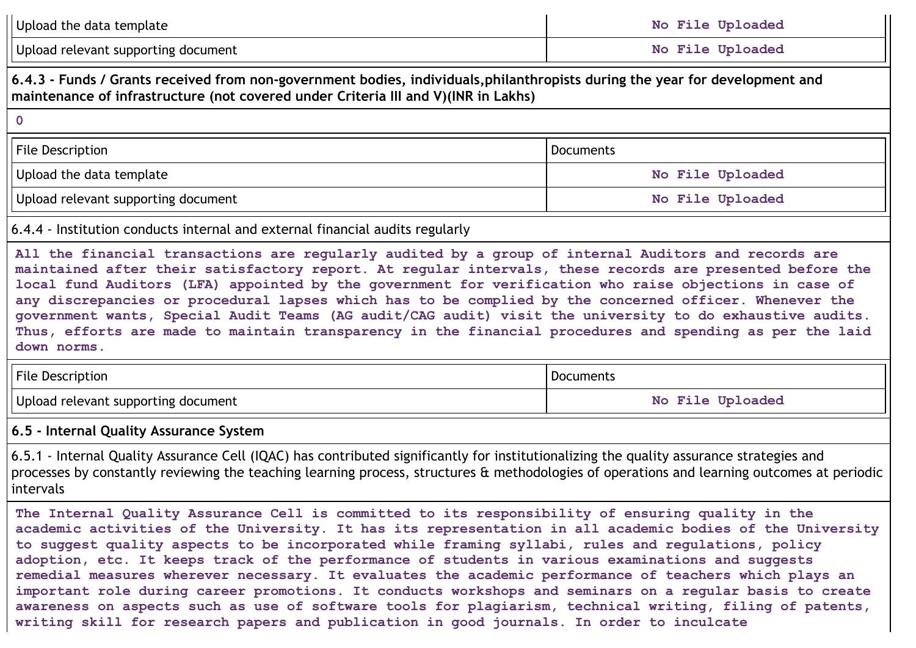| Upload the data template                                                                                                                                                                                                                                                                                                                                                                                                                                                                                                                                                                                                                                                    | No File Uploaded |  |  |
|-----------------------------------------------------------------------------------------------------------------------------------------------------------------------------------------------------------------------------------------------------------------------------------------------------------------------------------------------------------------------------------------------------------------------------------------------------------------------------------------------------------------------------------------------------------------------------------------------------------------------------------------------------------------------------|------------------|--|--|
| Upload relevant supporting document<br>No File Uploaded                                                                                                                                                                                                                                                                                                                                                                                                                                                                                                                                                                                                                     |                  |  |  |
| 6.4.3 - Funds / Grants received from non-government bodies, individuals, philanthropists during the year for development and<br>maintenance of infrastructure (not covered under Criteria III and V)(INR in Lakhs)                                                                                                                                                                                                                                                                                                                                                                                                                                                          |                  |  |  |
| $\mathbf 0$                                                                                                                                                                                                                                                                                                                                                                                                                                                                                                                                                                                                                                                                 |                  |  |  |
| File Description                                                                                                                                                                                                                                                                                                                                                                                                                                                                                                                                                                                                                                                            | <b>Documents</b> |  |  |
| Upload the data template                                                                                                                                                                                                                                                                                                                                                                                                                                                                                                                                                                                                                                                    | No File Uploaded |  |  |
| Upload relevant supporting document                                                                                                                                                                                                                                                                                                                                                                                                                                                                                                                                                                                                                                         | No File Uploaded |  |  |
| 6.4.4 - Institution conducts internal and external financial audits regularly                                                                                                                                                                                                                                                                                                                                                                                                                                                                                                                                                                                               |                  |  |  |
| All the financial transactions are regularly audited by a group of internal Auditors and records are<br>maintained after their satisfactory report. At regular intervals, these records are presented before the<br>local fund Auditors (LFA) appointed by the government for verification who raise objections in case of<br>any discrepancies or procedural lapses which has to be complied by the concerned officer. Whenever the<br>government wants, Special Audit Teams (AG audit/CAG audit) visit the university to do exhaustive audits.<br>Thus, efforts are made to maintain transparency in the financial procedures and spending as per the laid<br>down norms. |                  |  |  |
| File Description                                                                                                                                                                                                                                                                                                                                                                                                                                                                                                                                                                                                                                                            | <b>Documents</b> |  |  |
| Upload relevant supporting document                                                                                                                                                                                                                                                                                                                                                                                                                                                                                                                                                                                                                                         | No File Uploaded |  |  |
| 6.5 - Internal Quality Assurance System                                                                                                                                                                                                                                                                                                                                                                                                                                                                                                                                                                                                                                     |                  |  |  |
| 6.5.1 - Internal Quality Assurance Cell (IQAC) has contributed significantly for institutionalizing the quality assurance strategies and<br>processes by constantly reviewing the teaching learning process, structures & methodologies of operations and learning outcomes at periodic<br>intervals                                                                                                                                                                                                                                                                                                                                                                        |                  |  |  |
| The Internal Quality Assurance Cell is committed to its responsibility of ensuring quality in the<br>academic activities of the University. It has its representation in all academic bodies of the University<br>to suggest quality aspects to be incorporated while framing syllabi, rules and regulations, policy<br>adoption, etc. It keeps track of the performance of students in various examinations and suggests<br>remedial measures wherever necessary. It evaluates the academic performance of teachers which plays an<br>important role during career promotions. It conducts workshops and seminars on a regular basis to create                             |                  |  |  |

**writing skill for research papers and publication in good journals. In order to inculcate**

**awareness on aspects such as use of software tools for plagiarism, technical writing, filing of patents,**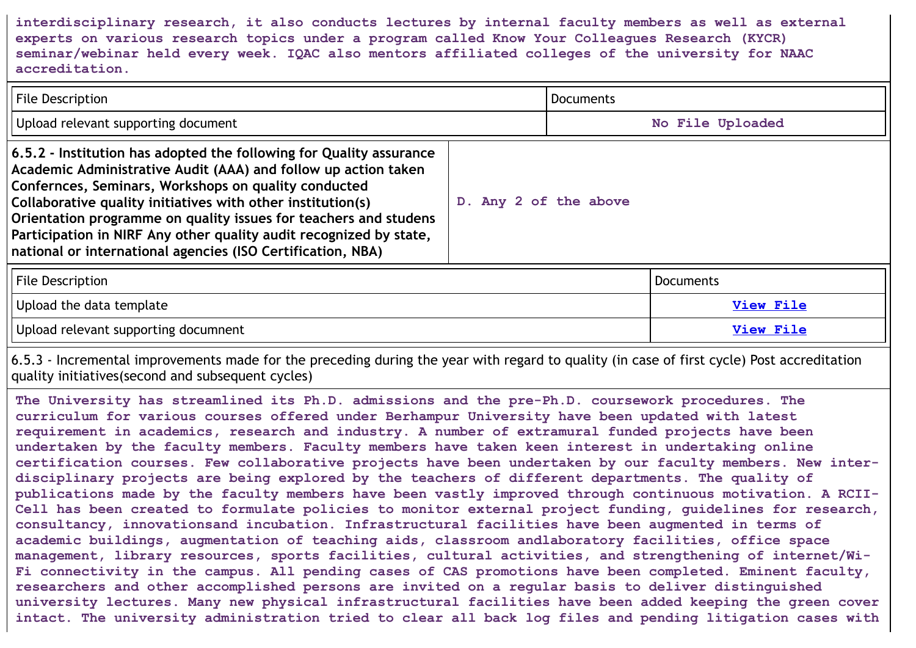**interdisciplinary research, it also conducts lectures by internal faculty members as well as external experts on various research topics under a program called Know Your Colleagues Research (KYCR) seminar/webinar held every week. IQAC also mentors affiliated colleges of the university for NAAC accreditation.**

| File Description                                                                                                                                                                                                                                                                                                                                                                                                                                                      |                       | Documents        |                  |
|-----------------------------------------------------------------------------------------------------------------------------------------------------------------------------------------------------------------------------------------------------------------------------------------------------------------------------------------------------------------------------------------------------------------------------------------------------------------------|-----------------------|------------------|------------------|
| Upload relevant supporting document                                                                                                                                                                                                                                                                                                                                                                                                                                   |                       |                  | No File Uploaded |
| 6.5.2 - Institution has adopted the following for Quality assurance<br>Academic Administrative Audit (AAA) and follow up action taken<br>Confernces, Seminars, Workshops on quality conducted<br>Collaborative quality initiatives with other institution(s)<br>Orientation programme on quality issues for teachers and studens<br>Participation in NIRF Any other quality audit recognized by state,<br>national or international agencies (ISO Certification, NBA) | D. Any 2 of the above |                  |                  |
| <b>File Description</b>                                                                                                                                                                                                                                                                                                                                                                                                                                               |                       |                  | Documents        |
| Upload the data template                                                                                                                                                                                                                                                                                                                                                                                                                                              |                       | <b>View File</b> |                  |
| Upload relevant supporting documnent                                                                                                                                                                                                                                                                                                                                                                                                                                  |                       | View File        |                  |

6.5.3 - Incremental improvements made for the preceding during the year with regard to quality (in case of first cycle) Post accreditation quality initiatives(second and subsequent cycles)

**The University has streamlined its Ph.D. admissions and the pre-Ph.D. coursework procedures. The curriculum for various courses offered under Berhampur University have been updated with latest requirement in academics, research and industry. A number of extramural funded projects have been undertaken by the faculty members. Faculty members have taken keen interest in undertaking online certification courses. Few collaborative projects have been undertaken by our faculty members. New interdisciplinary projects are being explored by the teachers of different departments. The quality of publications made by the faculty members have been vastly improved through continuous motivation. A RCII-Cell has been created to formulate policies to monitor external project funding, guidelines for research, consultancy, innovationsand incubation. Infrastructural facilities have been augmented in terms of academic buildings, augmentation of teaching aids, classroom andlaboratory facilities, office space management, library resources, sports facilities, cultural activities, and strengthening of internet/Wi-Fi connectivity in the campus. All pending cases of CAS promotions have been completed. Eminent faculty, researchers and other accomplished persons are invited on a regular basis to deliver distinguished university lectures. Many new physical infrastructural facilities have been added keeping the green cover intact. The university administration tried to clear all back log files and pending litigation cases with**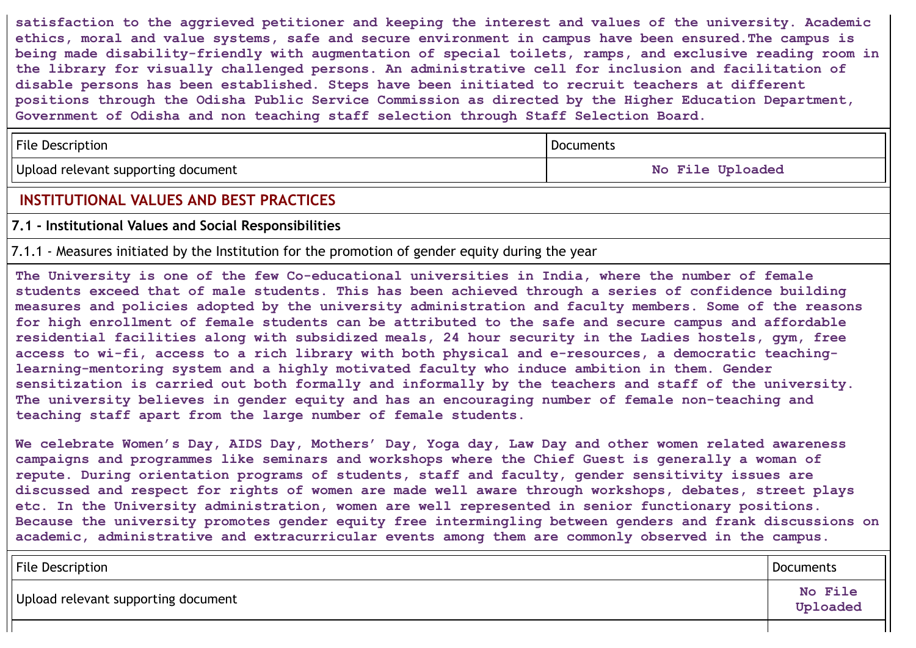**satisfaction to the aggrieved petitioner and keeping the interest and values of the university. Academic ethics, moral and value systems, safe and secure environment in campus have been ensured.The campus is being made disability-friendly with augmentation of special toilets, ramps, and exclusive reading room in the library for visually challenged persons. An administrative cell for inclusion and facilitation of disable persons has been established. Steps have been initiated to recruit teachers at different positions through the Odisha Public Service Commission as directed by the Higher Education Department, Government of Odisha and non teaching staff selection through Staff Selection Board.**

| <b>File Description</b>             | Documents        |
|-------------------------------------|------------------|
| Upload relevant supporting document | No File Uploaded |

# **INSTITUTIONAL VALUES AND BEST PRACTICES**

### **7.1 - Institutional Values and Social Responsibilities**

7.1.1 - Measures initiated by the Institution for the promotion of gender equity during the year

**The University is one of the few Co-educational universities in India, where the number of female students exceed that of male students. This has been achieved through a series of confidence building measures and policies adopted by the university administration and faculty members. Some of the reasons for high enrollment of female students can be attributed to the safe and secure campus and affordable residential facilities along with subsidized meals, 24 hour security in the Ladies hostels, gym, free access to wi-fi, access to a rich library with both physical and e-resources, a democratic teachinglearning-mentoring system and a highly motivated faculty who induce ambition in them. Gender sensitization is carried out both formally and informally by the teachers and staff of the university. The university believes in gender equity and has an encouraging number of female non-teaching and teaching staff apart from the large number of female students.**

**We celebrate Women's Day, AIDS Day, Mothers' Day, Yoga day, Law Day and other women related awareness campaigns and programmes like seminars and workshops where the Chief Guest is generally a woman of repute. During orientation programs of students, staff and faculty, gender sensitivity issues are discussed and respect for rights of women are made well aware through workshops, debates, street plays etc. In the University administration, women are well represented in senior functionary positions. Because the university promotes gender equity free intermingling between genders and frank discussions on academic, administrative and extracurricular events among them are commonly observed in the campus.**

| <b>File Description</b>             | Documents           |
|-------------------------------------|---------------------|
| Upload relevant supporting document | No File<br>Uploaded |
|                                     |                     |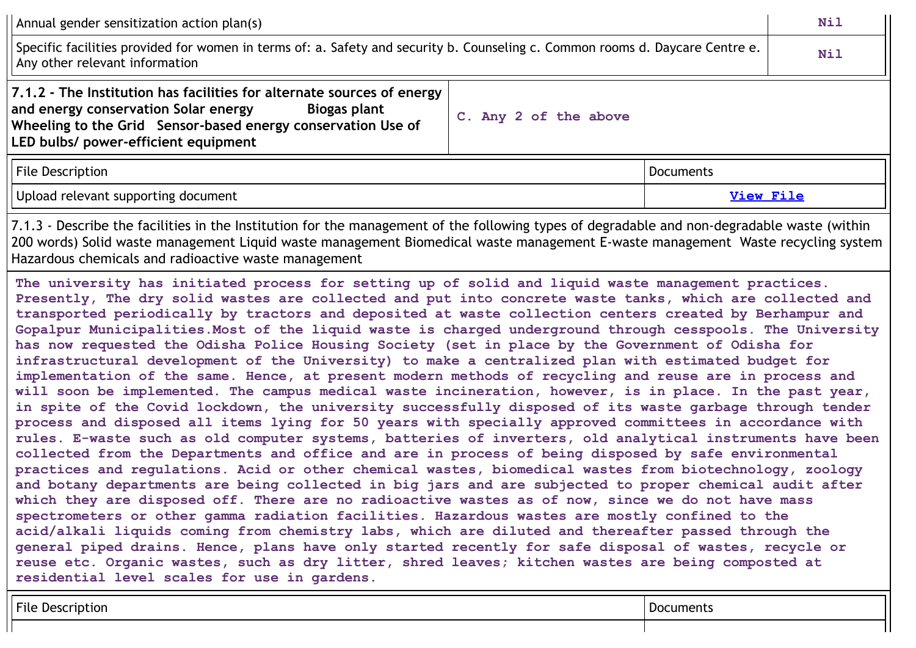Annual gender sensitization action plan(s) and the sensitive sensitive sensitive sensitization action plan(s) and the sensitive sensitive sensitive sensitive sensitive sensitive sensitive sensitive sensitive sensitive sens Specific facilities provided for women in terms of: a. Safety and security b. Counseling c. Common rooms d. Daycare Centre e. Any other relevant information **Nil 7.1.2 - The Institution has facilities for alternate sources of energy and energy conservation Solar energy Biogas plant Wheeling to the Grid Sensor-based energy conservation Use of LED bulbs/ power-efficient equipment C. Any 2 of the above** File Description **Documents** Upload relevant supporting document **[View](https://assessmentonline.naac.gov.in/storage/app/public/aqar/14171/14171_410_892.pdf?1650020805) File** 7.1.3 - Describe the facilities in the Institution for the management of the following types of degradable and non-degradable waste (within 200 words) Solid waste management Liquid waste management Biomedical waste management E-waste management Waste recycling system

Hazardous chemicals and radioactive waste management

**The university has initiated process for setting up of solid and liquid waste management practices. Presently, The dry solid wastes are collected and put into concrete waste tanks, which are collected and transported periodically by tractors and deposited at waste collection centers created by Berhampur and Gopalpur Municipalities.Most of the liquid waste is charged underground through cesspools. The University has now requested the Odisha Police Housing Society (set in place by the Government of Odisha for infrastructural development of the University) to make a centralized plan with estimated budget for implementation of the same. Hence, at present modern methods of recycling and reuse are in process and will soon be implemented. The campus medical waste incineration, however, is in place. In the past year, in spite of the Covid lockdown, the university successfully disposed of its waste garbage through tender process and disposed all items lying for 50 years with specially approved committees in accordance with rules. E-waste such as old computer systems, batteries of inverters, old analytical instruments have been collected from the Departments and office and are in process of being disposed by safe environmental practices and regulations. Acid or other chemical wastes, biomedical wastes from biotechnology, zoology and botany departments are being collected in big jars and are subjected to proper chemical audit after** which they are disposed off. There are no radioactive wastes as of now, since we do not have mass **spectrometers or other gamma radiation facilities. Hazardous wastes are mostly confined to the acid/alkali liquids coming from chemistry labs, which are diluted and thereafter passed through the general piped drains. Hence, plans have only started recently for safe disposal of wastes, recycle or reuse etc. Organic wastes, such as dry litter, shred leaves; kitchen wastes are being composted at residential level scales for use in gardens.**

| File<br>. I JE<br>* IO. |  |
|-------------------------|--|
|                         |  |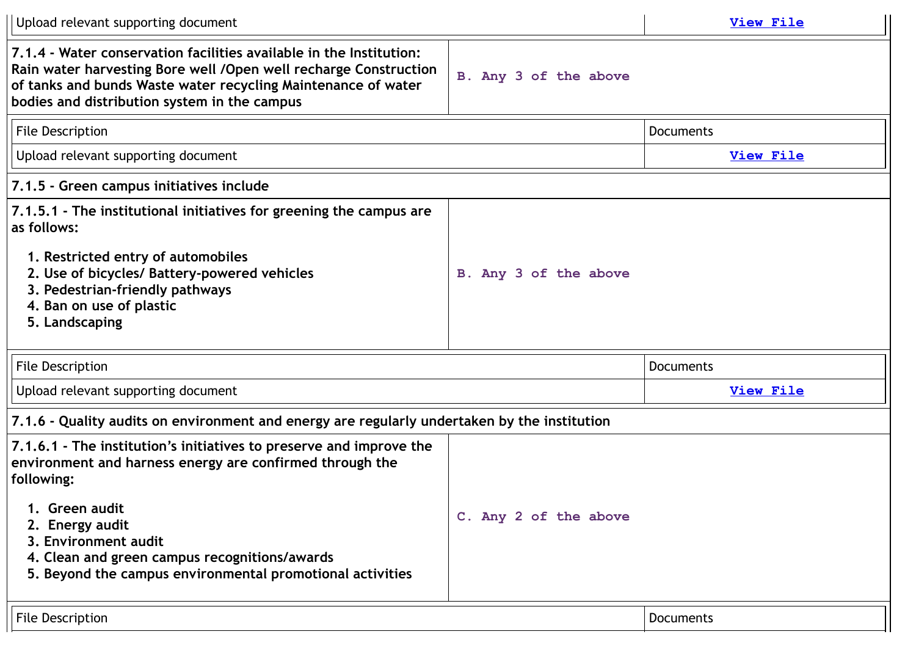| Upload relevant supporting document                                                                                                                                                                                                                                                                                      |                       | View File        |
|--------------------------------------------------------------------------------------------------------------------------------------------------------------------------------------------------------------------------------------------------------------------------------------------------------------------------|-----------------------|------------------|
| 7.1.4 - Water conservation facilities available in the Institution:<br>Rain water harvesting Bore well / Open well recharge Construction<br>of tanks and bunds Waste water recycling Maintenance of water<br>bodies and distribution system in the campus                                                                | B. Any 3 of the above |                  |
| <b>File Description</b>                                                                                                                                                                                                                                                                                                  |                       | <b>Documents</b> |
| Upload relevant supporting document                                                                                                                                                                                                                                                                                      |                       | <b>View File</b> |
| 7.1.5 - Green campus initiatives include                                                                                                                                                                                                                                                                                 |                       |                  |
| 7.1.5.1 - The institutional initiatives for greening the campus are<br>as follows:<br>1. Restricted entry of automobiles<br>2. Use of bicycles/ Battery-powered vehicles<br>3. Pedestrian-friendly pathways<br>4. Ban on use of plastic<br>5. Landscaping                                                                | B. Any 3 of the above |                  |
| <b>File Description</b>                                                                                                                                                                                                                                                                                                  |                       | <b>Documents</b> |
| Upload relevant supporting document                                                                                                                                                                                                                                                                                      |                       | <b>View File</b> |
| 7.1.6 - Quality audits on environment and energy are regularly undertaken by the institution                                                                                                                                                                                                                             |                       |                  |
| 7.1.6.1 - The institution's initiatives to preserve and improve the<br>environment and harness energy are confirmed through the<br>following:<br>1. Green audit<br>2. Energy audit<br>3. Environment audit<br>4. Clean and green campus recognitions/awards<br>5. Beyond the campus environmental promotional activities | C. Any 2 of the above |                  |
| <b>File Description</b>                                                                                                                                                                                                                                                                                                  |                       | <b>Documents</b> |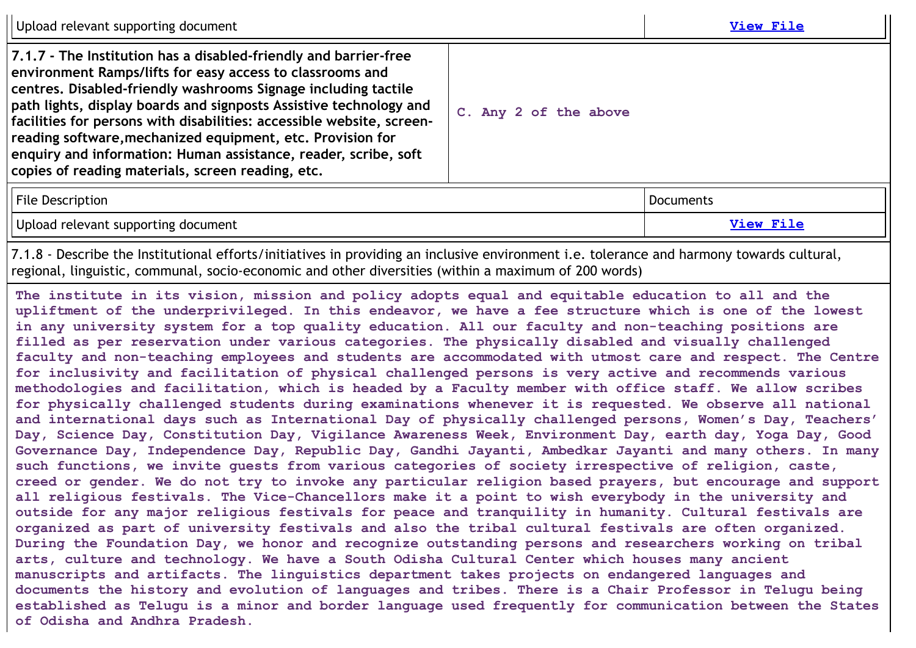Upload relevant supporting document **[View](https://assessmentonline.naac.gov.in/storage/?1650020805) File 7.1.7 - The Institution has a disabled-friendly and barrier-free environment Ramps/lifts for easy access to classrooms and centres. Disabled-friendly washrooms Signage including tactile path lights, display boards and signposts Assistive technology and facilities for persons with disabilities: accessible website, screenreading software,mechanized equipment, etc. Provision for enquiry and information: Human assistance, reader, scribe, soft copies of reading materials, screen reading, etc. C. Any 2 of the above** File Description **Documents** Upload relevant supporting document **[View](https://assessmentonline.naac.gov.in/storage/app/public/aqar/14171/14171_415_897.pdf?1650020805) File** 7.1.8 - Describe the Institutional efforts/initiatives in providing an inclusive environment i.e. tolerance and harmony towards cultural, regional, linguistic, communal, socio-economic and other diversities (within a maximum of 200 words) **The institute in its vision, mission and policy adopts equal and equitable education to all and the** upliftment of the underprivileged. In this endeavor, we have a fee structure which is one of the lowest **in any university system for a top quality education. All our faculty and non-teaching positions are filled as per reservation under various categories. The physically disabled and visually challenged faculty and non-teaching employees and students are accommodated with utmost care and respect. The Centre for inclusivity and facilitation of physical challenged persons is very active and recommends various methodologies and facilitation, which is headed by a Faculty member with office staff. We allow scribes for physically challenged students during examinations whenever it is requested. We observe all national and international days such as International Day of physically challenged persons, Women's Day, Teachers' Day, Science Day, Constitution Day, Vigilance Awareness Week, Environment Day, earth day, Yoga Day, Good Governance Day, Independence Day, Republic Day, Gandhi Jayanti, Ambedkar Jayanti and many others. In many such functions, we invite guests from various categories of society irrespective of religion, caste,** creed or gender. We do not try to invoke any particular religion based prayers, but encourage and support **all religious festivals. The Vice-Chancellors make it a point to wish everybody in the university and outside for any major religious festivals for peace and tranquility in humanity. Cultural festivals are organized as part of university festivals and also the tribal cultural festivals are often organized. During the Foundation Day, we honor and recognize outstanding persons and researchers working on tribal arts, culture and technology. We have a South Odisha Cultural Center which houses many ancient manuscripts and artifacts. The linguistics department takes projects on endangered languages and documents the history and evolution of languages and tribes. There is a Chair Professor in Telugu being established as Telugu is a minor and border language used frequently for communication between the States of Odisha and Andhra Pradesh.**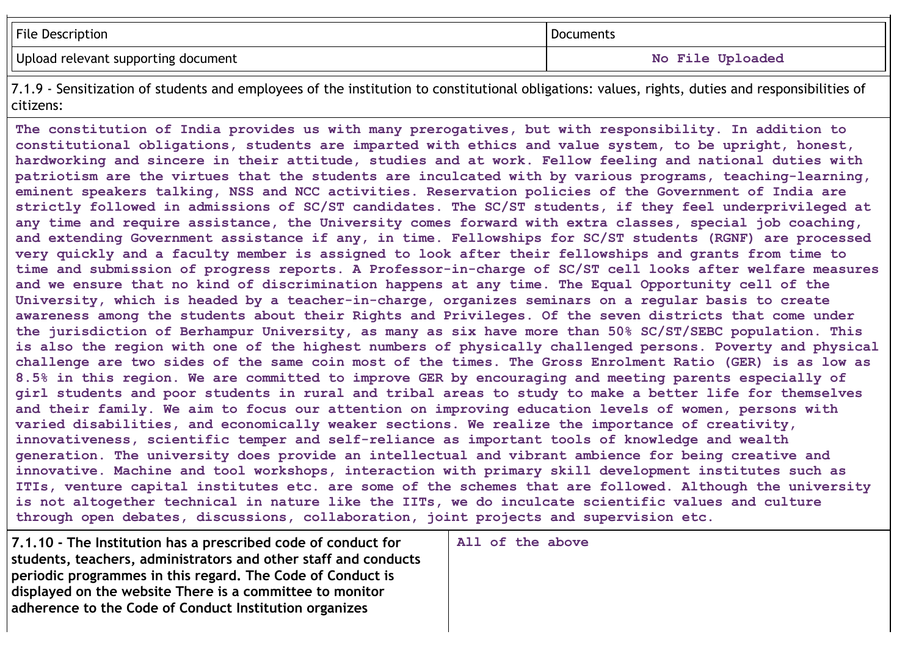| <b>File Description</b>             | Documents        |
|-------------------------------------|------------------|
| Upload relevant supporting document | No File Uploaded |

7.1.9 - Sensitization of students and employees of the institution to constitutional obligations: values, rights, duties and responsibilities of citizens:

**The constitution of India provides us with many prerogatives, but with responsibility. In addition to constitutional obligations, students are imparted with ethics and value system, to be upright, honest, hardworking and sincere in their attitude, studies and at work. Fellow feeling and national duties with patriotism are the virtues that the students are inculcated with by various programs, teaching-learning, eminent speakers talking, NSS and NCC activities. Reservation policies of the Government of India are strictly followed in admissions of SC/ST candidates. The SC/ST students, if they feel underprivileged at any time and require assistance, the University comes forward with extra classes, special job coaching, and extending Government assistance if any, in time. Fellowships for SC/ST students (RGNF) are processed** very quickly and a faculty member is assigned to look after their fellowships and grants from time to **time and submission of progress reports. A Professor-in-charge of SC/ST cell looks after welfare measures** and we ensure that no kind of discrimination happens at any time. The Equal Opportunity cell of the **University, which is headed by a teacher-in-charge, organizes seminars on a regular basis to create awareness among the students about their Rights and Privileges. Of the seven districts that come under the jurisdiction of Berhampur University, as many as six have more than 50% SC/ST/SEBC population. This is also the region with one of the highest numbers of physically challenged persons. Poverty and physical** challenge are two sides of the same coin most of the times. The Gross Enrolment Ratio (GER) is as low as **8.5% in this region. We are committed to improve GER by encouraging and meeting parents especially of** girl students and poor students in rural and tribal areas to study to make a better life for themselves **and their family. We aim to focus our attention on improving education levels of women, persons with varied disabilities, and economically weaker sections. We realize the importance of creativity, innovativeness, scientific temper and self-reliance as important tools of knowledge and wealth generation. The university does provide an intellectual and vibrant ambience for being creative and innovative. Machine and tool workshops, interaction with primary skill development institutes such as ITIs, venture capital institutes etc. are some of the schemes that are followed. Although the university is not altogether technical in nature like the IITs, we do inculcate scientific values and culture through open debates, discussions, collaboration, joint projects and supervision etc.**

**7.1.10 - The Institution has a prescribed code of conduct for students, teachers, administrators and other staff and conducts periodic programmes in this regard. The Code of Conduct is displayed on the website There is a committee to monitor adherence to the Code of Conduct Institution organizes**

**All of the above**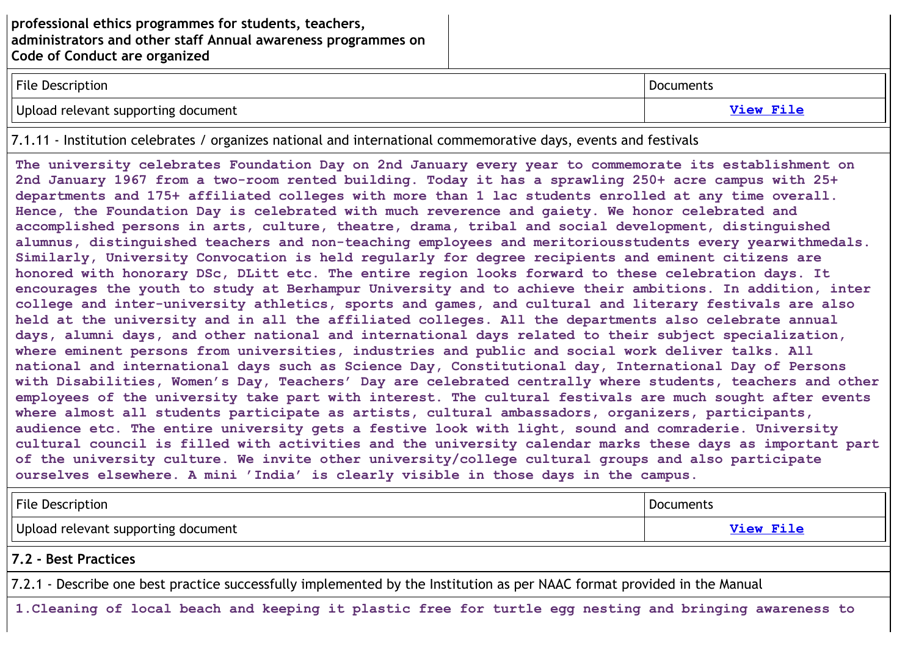| <b>File Description</b>             | Documents        |
|-------------------------------------|------------------|
| Upload relevant supporting document | <b>View File</b> |

7.1.11 - Institution celebrates / organizes national and international commemorative days, events and festivals

**The university celebrates Foundation Day on 2nd January every year to commemorate its establishment on** 2nd January 1967 from a two-room rented building. Today it has a sprawling 250+ acre campus with 25+ **departments and 175+ affiliated colleges with more than 1 lac students enrolled at any time overall. Hence, the Foundation Day is celebrated with much reverence and gaiety. We honor celebrated and accomplished persons in arts, culture, theatre, drama, tribal and social development, distinguished alumnus, distinguished teachers and non-teaching employees and meritoriousstudents every yearwithmedals. Similarly, University Convocation is held regularly for degree recipients and eminent citizens are honored with honorary DSc, DLitt etc. The entire region looks forward to these celebration days. It encourages the youth to study at Berhampur University and to achieve their ambitions. In addition, inter college and inter-university athletics, sports and games, and cultural and literary festivals are also held at the university and in all the affiliated colleges. All the departments also celebrate annual days, alumni days, and other national and international days related to their subject specialization, where eminent persons from universities, industries and public and social work deliver talks. All national and international days such as Science Day, Constitutional day, International Day of Persons with Disabilities, Women's Day, Teachers' Day are celebrated centrally where students, teachers and other employees of the university take part with interest. The cultural festivals are much sought after events where almost all students participate as artists, cultural ambassadors, organizers, participants, audience etc. The entire university gets a festive look with light, sound and comraderie. University cultural council is filled with activities and the university calendar marks these days as important part of the university culture. We invite other university/college cultural groups and also participate ourselves elsewhere. A mini 'India' is clearly visible in those days in the campus.**

| <b>File Description</b>                                                                                                  | Documents |  |
|--------------------------------------------------------------------------------------------------------------------------|-----------|--|
| Upload relevant supporting document<br>View File                                                                         |           |  |
| 7.2 - Best Practices                                                                                                     |           |  |
| 7.2.1 - Describe one best practice successfully implemented by the Institution as per NAAC format provided in the Manual |           |  |
| 1. Cleaning of local beach and keeping it plastic free for turtle egg nesting and bringing awareness to                  |           |  |